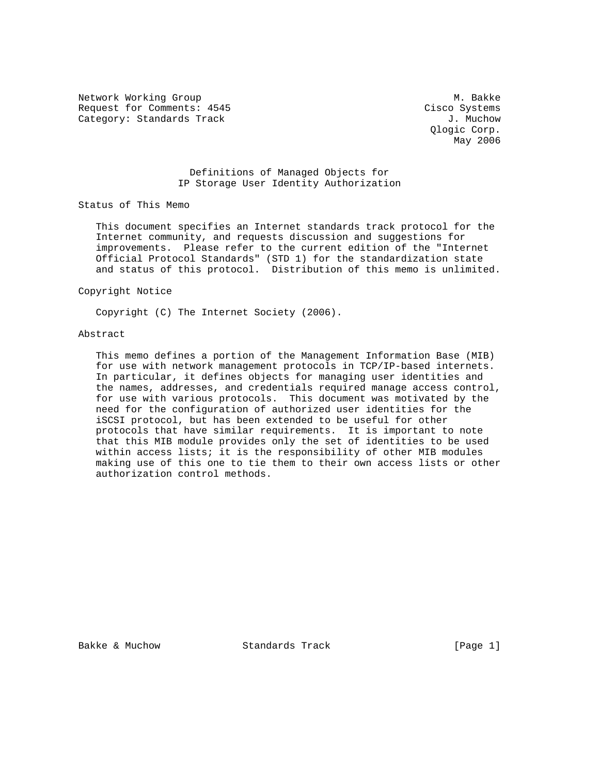Network Working Group and Museum Museum Museum Museum Museum Museum Museum Museum Museum Museum Museum Museum Request for Comments: 4545 Cisco Systems Category: Standards Track J. Muchow

 Qlogic Corp. May 2006

# Definitions of Managed Objects for IP Storage User Identity Authorization

Status of This Memo

 This document specifies an Internet standards track protocol for the Internet community, and requests discussion and suggestions for improvements. Please refer to the current edition of the "Internet Official Protocol Standards" (STD 1) for the standardization state and status of this protocol. Distribution of this memo is unlimited.

Copyright Notice

Copyright (C) The Internet Society (2006).

# Abstract

 This memo defines a portion of the Management Information Base (MIB) for use with network management protocols in TCP/IP-based internets. In particular, it defines objects for managing user identities and the names, addresses, and credentials required manage access control, for use with various protocols. This document was motivated by the need for the configuration of authorized user identities for the iSCSI protocol, but has been extended to be useful for other protocols that have similar requirements. It is important to note that this MIB module provides only the set of identities to be used within access lists; it is the responsibility of other MIB modules making use of this one to tie them to their own access lists or other authorization control methods.

Bakke & Muchow Standards Track [Page 1]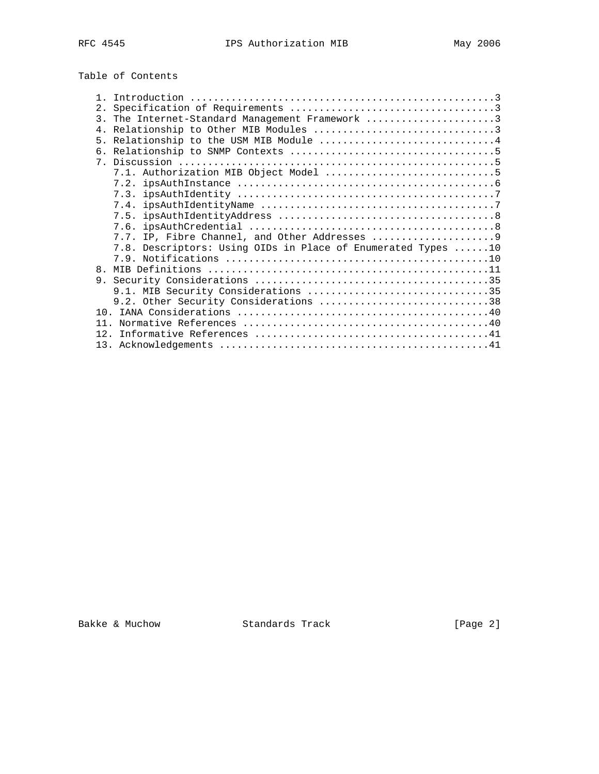Table of Contents

| 2.                                                           |
|--------------------------------------------------------------|
| 3. The Internet-Standard Management Framework 3              |
|                                                              |
| 5. Relationship to the USM MIB Module 4                      |
|                                                              |
|                                                              |
|                                                              |
|                                                              |
|                                                              |
|                                                              |
|                                                              |
|                                                              |
|                                                              |
| 7.8. Descriptors: Using OIDs in Place of Enumerated Types 10 |
|                                                              |
| $\mathsf{R}$                                                 |
|                                                              |
| 9.1. MIB Security Considerations 35                          |
| 9.2. Other Security Considerations 38                        |
|                                                              |
| 11                                                           |
|                                                              |
|                                                              |

Bakke & Muchow Standards Track [Page 2]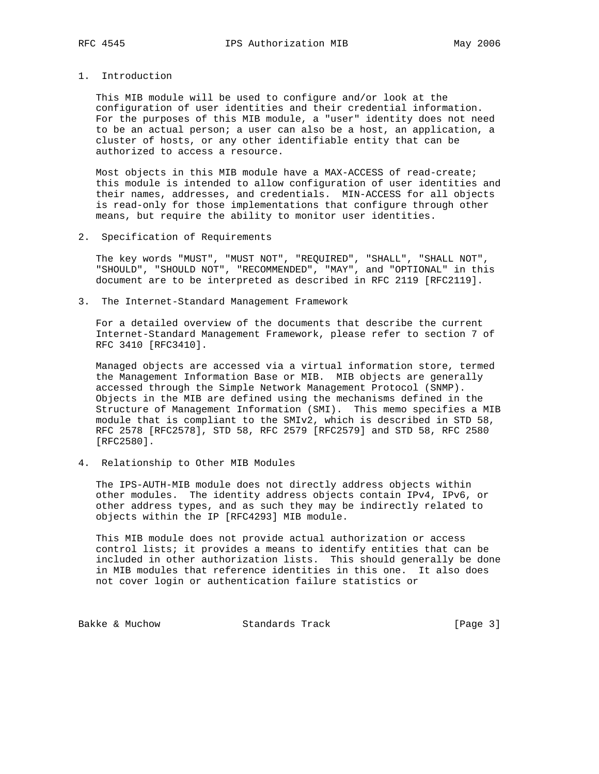1. Introduction

 This MIB module will be used to configure and/or look at the configuration of user identities and their credential information. For the purposes of this MIB module, a "user" identity does not need to be an actual person; a user can also be a host, an application, a cluster of hosts, or any other identifiable entity that can be authorized to access a resource.

 Most objects in this MIB module have a MAX-ACCESS of read-create; this module is intended to allow configuration of user identities and their names, addresses, and credentials. MIN-ACCESS for all objects is read-only for those implementations that configure through other means, but require the ability to monitor user identities.

2. Specification of Requirements

 The key words "MUST", "MUST NOT", "REQUIRED", "SHALL", "SHALL NOT", "SHOULD", "SHOULD NOT", "RECOMMENDED", "MAY", and "OPTIONAL" in this document are to be interpreted as described in RFC 2119 [RFC2119].

3. The Internet-Standard Management Framework

 For a detailed overview of the documents that describe the current Internet-Standard Management Framework, please refer to section 7 of RFC 3410 [RFC3410].

 Managed objects are accessed via a virtual information store, termed the Management Information Base or MIB. MIB objects are generally accessed through the Simple Network Management Protocol (SNMP). Objects in the MIB are defined using the mechanisms defined in the Structure of Management Information (SMI). This memo specifies a MIB module that is compliant to the SMIv2, which is described in STD 58, RFC 2578 [RFC2578], STD 58, RFC 2579 [RFC2579] and STD 58, RFC 2580 [RFC2580].

4. Relationship to Other MIB Modules

 The IPS-AUTH-MIB module does not directly address objects within other modules. The identity address objects contain IPv4, IPv6, or other address types, and as such they may be indirectly related to objects within the IP [RFC4293] MIB module.

 This MIB module does not provide actual authorization or access control lists; it provides a means to identify entities that can be included in other authorization lists. This should generally be done in MIB modules that reference identities in this one. It also does not cover login or authentication failure statistics or

Bakke & Muchow Standards Track [Page 3]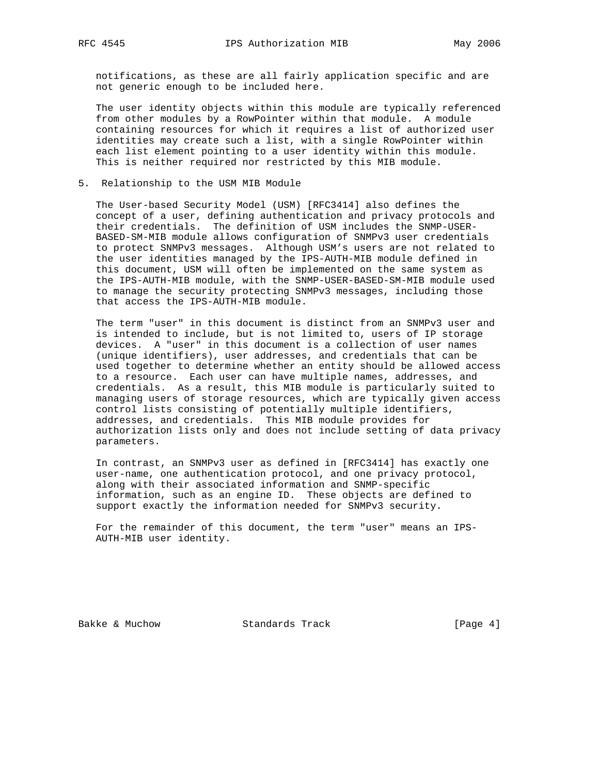notifications, as these are all fairly application specific and are not generic enough to be included here.

 The user identity objects within this module are typically referenced from other modules by a RowPointer within that module. A module containing resources for which it requires a list of authorized user identities may create such a list, with a single RowPointer within each list element pointing to a user identity within this module. This is neither required nor restricted by this MIB module.

5. Relationship to the USM MIB Module

 The User-based Security Model (USM) [RFC3414] also defines the concept of a user, defining authentication and privacy protocols and their credentials. The definition of USM includes the SNMP-USER- BASED-SM-MIB module allows configuration of SNMPv3 user credentials to protect SNMPv3 messages. Although USM's users are not related to the user identities managed by the IPS-AUTH-MIB module defined in this document, USM will often be implemented on the same system as the IPS-AUTH-MIB module, with the SNMP-USER-BASED-SM-MIB module used to manage the security protecting SNMPv3 messages, including those that access the IPS-AUTH-MIB module.

 The term "user" in this document is distinct from an SNMPv3 user and is intended to include, but is not limited to, users of IP storage devices. A "user" in this document is a collection of user names (unique identifiers), user addresses, and credentials that can be used together to determine whether an entity should be allowed access to a resource. Each user can have multiple names, addresses, and credentials. As a result, this MIB module is particularly suited to managing users of storage resources, which are typically given access control lists consisting of potentially multiple identifiers, addresses, and credentials. This MIB module provides for authorization lists only and does not include setting of data privacy parameters.

 In contrast, an SNMPv3 user as defined in [RFC3414] has exactly one user-name, one authentication protocol, and one privacy protocol, along with their associated information and SNMP-specific information, such as an engine ID. These objects are defined to support exactly the information needed for SNMPv3 security.

 For the remainder of this document, the term "user" means an IPS- AUTH-MIB user identity.

Bakke & Muchow Standards Track [Page 4]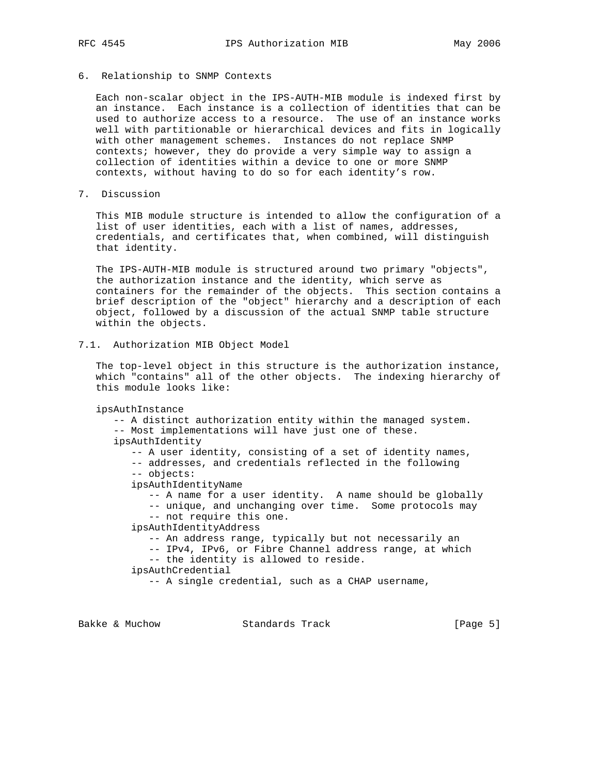6. Relationship to SNMP Contexts

 Each non-scalar object in the IPS-AUTH-MIB module is indexed first by an instance. Each instance is a collection of identities that can be used to authorize access to a resource. The use of an instance works well with partitionable or hierarchical devices and fits in logically with other management schemes. Instances do not replace SNMP contexts; however, they do provide a very simple way to assign a collection of identities within a device to one or more SNMP contexts, without having to do so for each identity's row.

7. Discussion

 This MIB module structure is intended to allow the configuration of a list of user identities, each with a list of names, addresses, credentials, and certificates that, when combined, will distinguish that identity.

 The IPS-AUTH-MIB module is structured around two primary "objects", the authorization instance and the identity, which serve as containers for the remainder of the objects. This section contains a brief description of the "object" hierarchy and a description of each object, followed by a discussion of the actual SNMP table structure within the objects.

```
7.1. Authorization MIB Object Model
```
 The top-level object in this structure is the authorization instance, which "contains" all of the other objects. The indexing hierarchy of this module looks like:

```
 ipsAuthInstance
```
 -- A distinct authorization entity within the managed system. -- Most implementations will have just one of these. ipsAuthIdentity -- A user identity, consisting of a set of identity names, -- addresses, and credentials reflected in the following -- objects: ipsAuthIdentityName -- A name for a user identity. A name should be globally -- unique, and unchanging over time. Some protocols may -- not require this one. ipsAuthIdentityAddress -- An address range, typically but not necessarily an -- IPv4, IPv6, or Fibre Channel address range, at which -- the identity is allowed to reside. ipsAuthCredential -- A single credential, such as a CHAP username,

Bakke & Muchow Standards Track [Page 5]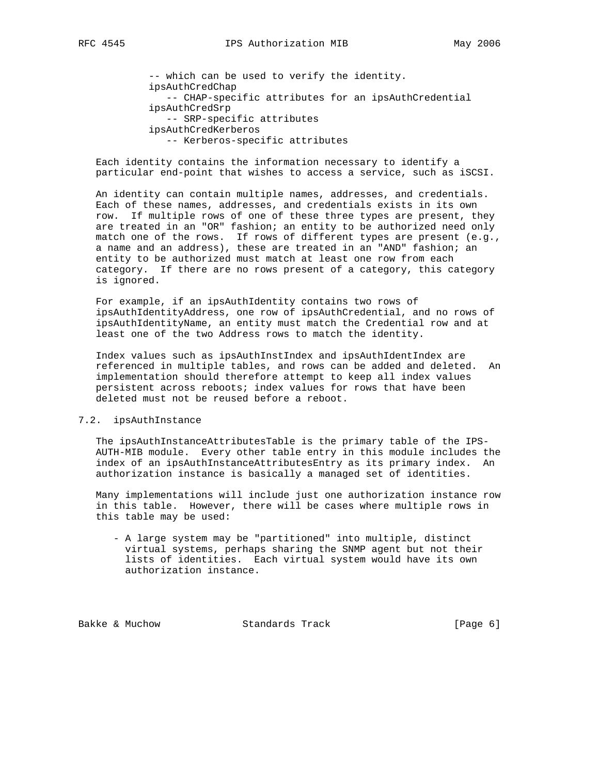-- which can be used to verify the identity. ipsAuthCredChap -- CHAP-specific attributes for an ipsAuthCredential ipsAuthCredSrp -- SRP-specific attributes ipsAuthCredKerberos -- Kerberos-specific attributes

 Each identity contains the information necessary to identify a particular end-point that wishes to access a service, such as iSCSI.

 An identity can contain multiple names, addresses, and credentials. Each of these names, addresses, and credentials exists in its own row. If multiple rows of one of these three types are present, they are treated in an "OR" fashion; an entity to be authorized need only match one of the rows. If rows of different types are present (e.g., a name and an address), these are treated in an "AND" fashion; an entity to be authorized must match at least one row from each category. If there are no rows present of a category, this category is ignored.

 For example, if an ipsAuthIdentity contains two rows of ipsAuthIdentityAddress, one row of ipsAuthCredential, and no rows of ipsAuthIdentityName, an entity must match the Credential row and at least one of the two Address rows to match the identity.

 Index values such as ipsAuthInstIndex and ipsAuthIdentIndex are referenced in multiple tables, and rows can be added and deleted. An implementation should therefore attempt to keep all index values persistent across reboots; index values for rows that have been deleted must not be reused before a reboot.

#### 7.2. ipsAuthInstance

 The ipsAuthInstanceAttributesTable is the primary table of the IPS- AUTH-MIB module. Every other table entry in this module includes the index of an ipsAuthInstanceAttributesEntry as its primary index. An authorization instance is basically a managed set of identities.

 Many implementations will include just one authorization instance row in this table. However, there will be cases where multiple rows in this table may be used:

 - A large system may be "partitioned" into multiple, distinct virtual systems, perhaps sharing the SNMP agent but not their lists of identities. Each virtual system would have its own authorization instance.

Bakke & Muchow Standards Track [Page 6]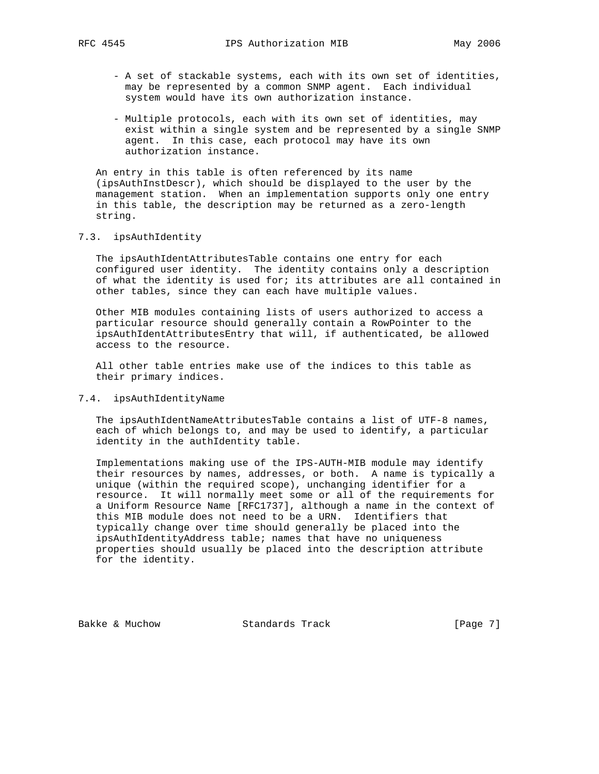- A set of stackable systems, each with its own set of identities, may be represented by a common SNMP agent. Each individual system would have its own authorization instance.
- Multiple protocols, each with its own set of identities, may exist within a single system and be represented by a single SNMP agent. In this case, each protocol may have its own authorization instance.

 An entry in this table is often referenced by its name (ipsAuthInstDescr), which should be displayed to the user by the management station. When an implementation supports only one entry in this table, the description may be returned as a zero-length string.

#### 7.3. ipsAuthIdentity

 The ipsAuthIdentAttributesTable contains one entry for each configured user identity. The identity contains only a description of what the identity is used for; its attributes are all contained in other tables, since they can each have multiple values.

 Other MIB modules containing lists of users authorized to access a particular resource should generally contain a RowPointer to the ipsAuthIdentAttributesEntry that will, if authenticated, be allowed access to the resource.

 All other table entries make use of the indices to this table as their primary indices.

# 7.4. ipsAuthIdentityName

 The ipsAuthIdentNameAttributesTable contains a list of UTF-8 names, each of which belongs to, and may be used to identify, a particular identity in the authIdentity table.

 Implementations making use of the IPS-AUTH-MIB module may identify their resources by names, addresses, or both. A name is typically a unique (within the required scope), unchanging identifier for a resource. It will normally meet some or all of the requirements for a Uniform Resource Name [RFC1737], although a name in the context of this MIB module does not need to be a URN. Identifiers that typically change over time should generally be placed into the ipsAuthIdentityAddress table; names that have no uniqueness properties should usually be placed into the description attribute for the identity.

Bakke & Muchow Standards Track [Page 7]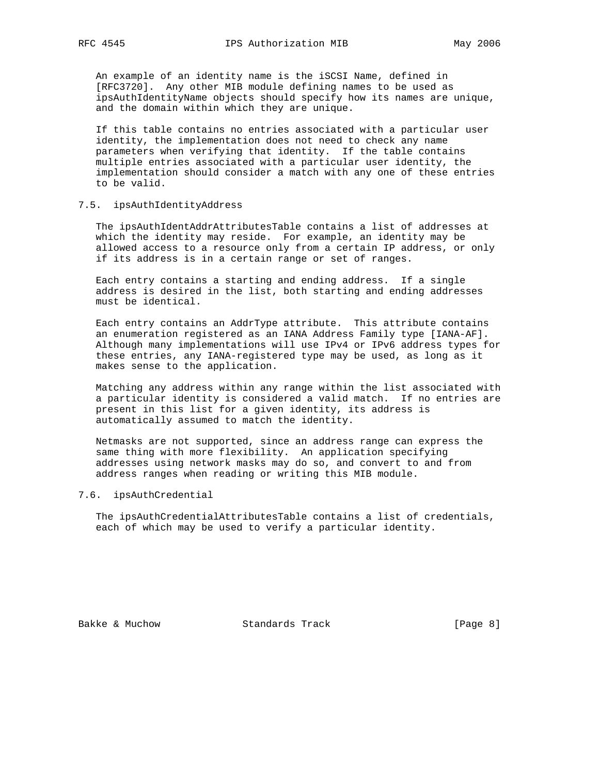An example of an identity name is the iSCSI Name, defined in [RFC3720]. Any other MIB module defining names to be used as ipsAuthIdentityName objects should specify how its names are unique, and the domain within which they are unique.

 If this table contains no entries associated with a particular user identity, the implementation does not need to check any name parameters when verifying that identity. If the table contains multiple entries associated with a particular user identity, the implementation should consider a match with any one of these entries to be valid.

### 7.5. ipsAuthIdentityAddress

 The ipsAuthIdentAddrAttributesTable contains a list of addresses at which the identity may reside. For example, an identity may be allowed access to a resource only from a certain IP address, or only if its address is in a certain range or set of ranges.

 Each entry contains a starting and ending address. If a single address is desired in the list, both starting and ending addresses must be identical.

 Each entry contains an AddrType attribute. This attribute contains an enumeration registered as an IANA Address Family type [IANA-AF]. Although many implementations will use IPv4 or IPv6 address types for these entries, any IANA-registered type may be used, as long as it makes sense to the application.

 Matching any address within any range within the list associated with a particular identity is considered a valid match. If no entries are present in this list for a given identity, its address is automatically assumed to match the identity.

 Netmasks are not supported, since an address range can express the same thing with more flexibility. An application specifying addresses using network masks may do so, and convert to and from address ranges when reading or writing this MIB module.

#### 7.6. ipsAuthCredential

 The ipsAuthCredentialAttributesTable contains a list of credentials, each of which may be used to verify a particular identity.

Bakke & Muchow Standards Track [Page 8]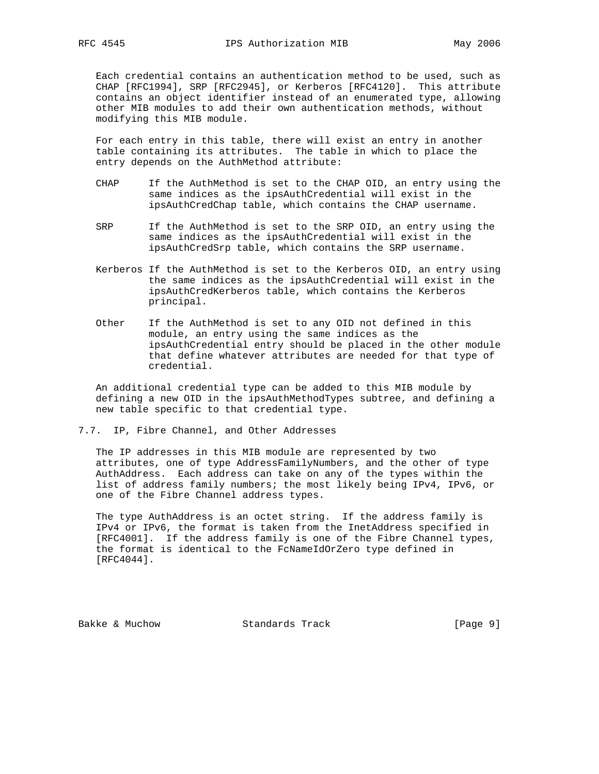Each credential contains an authentication method to be used, such as CHAP [RFC1994], SRP [RFC2945], or Kerberos [RFC4120]. This attribute contains an object identifier instead of an enumerated type, allowing other MIB modules to add their own authentication methods, without modifying this MIB module.

 For each entry in this table, there will exist an entry in another table containing its attributes. The table in which to place the entry depends on the AuthMethod attribute:

- CHAP If the AuthMethod is set to the CHAP OID, an entry using the same indices as the ipsAuthCredential will exist in the ipsAuthCredChap table, which contains the CHAP username.
- SRP If the AuthMethod is set to the SRP OID, an entry using the same indices as the ipsAuthCredential will exist in the ipsAuthCredSrp table, which contains the SRP username.
- Kerberos If the AuthMethod is set to the Kerberos OID, an entry using the same indices as the ipsAuthCredential will exist in the ipsAuthCredKerberos table, which contains the Kerberos principal.
- Other If the AuthMethod is set to any OID not defined in this module, an entry using the same indices as the ipsAuthCredential entry should be placed in the other module that define whatever attributes are needed for that type of credential.

 An additional credential type can be added to this MIB module by defining a new OID in the ipsAuthMethodTypes subtree, and defining a new table specific to that credential type.

7.7. IP, Fibre Channel, and Other Addresses

 The IP addresses in this MIB module are represented by two attributes, one of type AddressFamilyNumbers, and the other of type AuthAddress. Each address can take on any of the types within the list of address family numbers; the most likely being IPv4, IPv6, or one of the Fibre Channel address types.

 The type AuthAddress is an octet string. If the address family is IPv4 or IPv6, the format is taken from the InetAddress specified in [RFC4001]. If the address family is one of the Fibre Channel types, the format is identical to the FcNameIdOrZero type defined in [RFC4044].

Bakke & Muchow Standards Track [Page 9]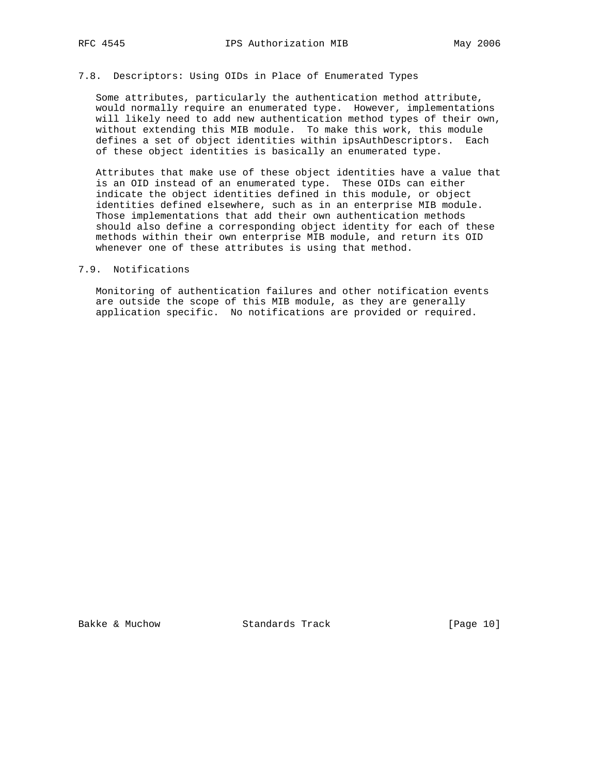# 7.8. Descriptors: Using OIDs in Place of Enumerated Types

 Some attributes, particularly the authentication method attribute, would normally require an enumerated type. However, implementations will likely need to add new authentication method types of their own, without extending this MIB module. To make this work, this module defines a set of object identities within ipsAuthDescriptors. Each of these object identities is basically an enumerated type.

 Attributes that make use of these object identities have a value that is an OID instead of an enumerated type. These OIDs can either indicate the object identities defined in this module, or object identities defined elsewhere, such as in an enterprise MIB module. Those implementations that add their own authentication methods should also define a corresponding object identity for each of these methods within their own enterprise MIB module, and return its OID whenever one of these attributes is using that method.

### 7.9. Notifications

 Monitoring of authentication failures and other notification events are outside the scope of this MIB module, as they are generally application specific. No notifications are provided or required.

Bakke & Muchow Standards Track [Page 10]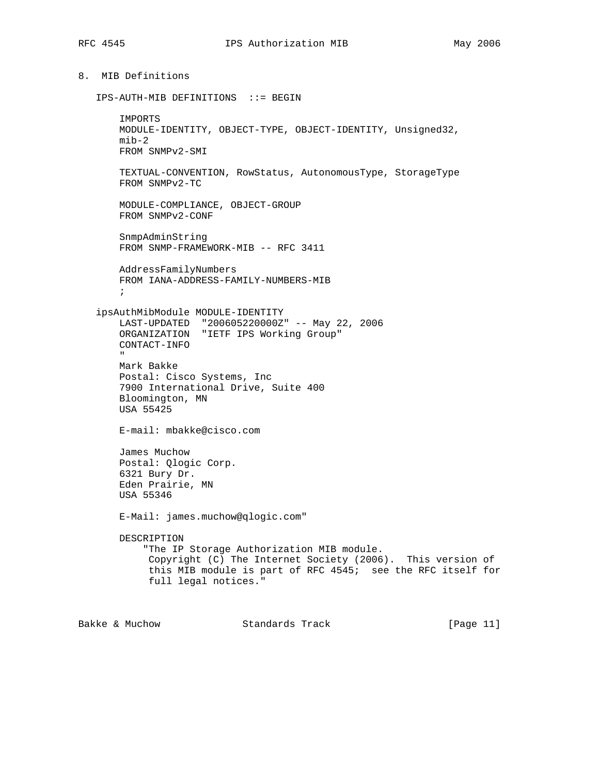# 8. MIB Definitions

```
 IPS-AUTH-MIB DEFINITIONS ::= BEGIN
```
 IMPORTS MODULE-IDENTITY, OBJECT-TYPE, OBJECT-IDENTITY, Unsigned32,  $min-2$  FROM SNMPv2-SMI TEXTUAL-CONVENTION, RowStatus, AutonomousType, StorageType FROM SNMPv2-TC MODULE-COMPLIANCE, OBJECT-GROUP FROM SNMPv2-CONF SnmpAdminString FROM SNMP-FRAMEWORK-MIB -- RFC 3411 AddressFamilyNumbers FROM IANA-ADDRESS-FAMILY-NUMBERS-MIB ; ipsAuthMibModule MODULE-IDENTITY LAST-UPDATED "200605220000Z" -- May 22, 2006 ORGANIZATION "IETF IPS Working Group" CONTACT-INFO " Mark Bakke Postal: Cisco Systems, Inc 7900 International Drive, Suite 400 Bloomington, MN USA 55425 E-mail: mbakke@cisco.com James Muchow Postal: Qlogic Corp. 6321 Bury Dr. Eden Prairie, MN USA 55346 E-Mail: james.muchow@qlogic.com" DESCRIPTION "The IP Storage Authorization MIB module. Copyright (C) The Internet Society (2006). This version of this MIB module is part of RFC 4545; see the RFC itself for full legal notices."

Bakke & Muchow Standards Track [Page 11]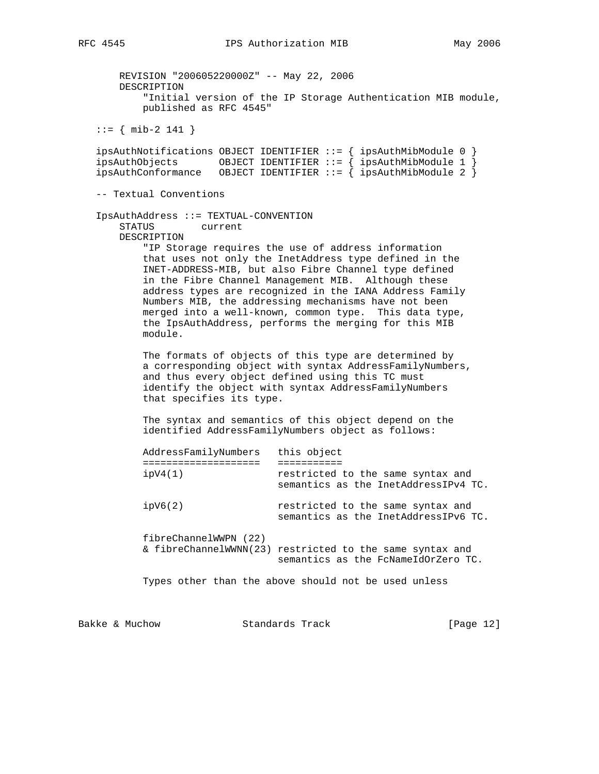REVISION "200605220000Z" -- May 22, 2006 DESCRIPTION "Initial version of the IP Storage Authentication MIB module, published as RFC 4545" ::= { mib-2 141 } ipsAuthNotifications OBJECT IDENTIFIER ::= { ipsAuthMibModule 0 } ipsAuthObjects OBJECT IDENTIFIER ::= { ipsAuthMibModule 1 } ipsAuthConformance OBJECT IDENTIFIER ::= { ipsAuthMibModule 2 } -- Textual Conventions IpsAuthAddress ::= TEXTUAL-CONVENTION STATUS current DESCRIPTION "IP Storage requires the use of address information that uses not only the InetAddress type defined in the INET-ADDRESS-MIB, but also Fibre Channel type defined in the Fibre Channel Management MIB. Although these address types are recognized in the IANA Address Family Numbers MIB, the addressing mechanisms have not been merged into a well-known, common type. This data type, the IpsAuthAddress, performs the merging for this MIB module. The formats of objects of this type are determined by a corresponding object with syntax AddressFamilyNumbers, and thus every object defined using this TC must identify the object with syntax AddressFamilyNumbers that specifies its type. The syntax and semantics of this object depend on the identified AddressFamilyNumbers object as follows: AddressFamilyNumbers this object ==================== =========== ipV4(1) restricted to the same syntax and semantics as the InetAddressIPv4 TC. ipV6(2) restricted to the same syntax and semantics as the InetAddressIPv6 TC. fibreChannelWWPN (22) & fibreChannelWWNN(23) restricted to the same syntax and semantics as the FcNameIdOrZero TC. Types other than the above should not be used unless

Bakke & Muchow Standards Track [Page 12]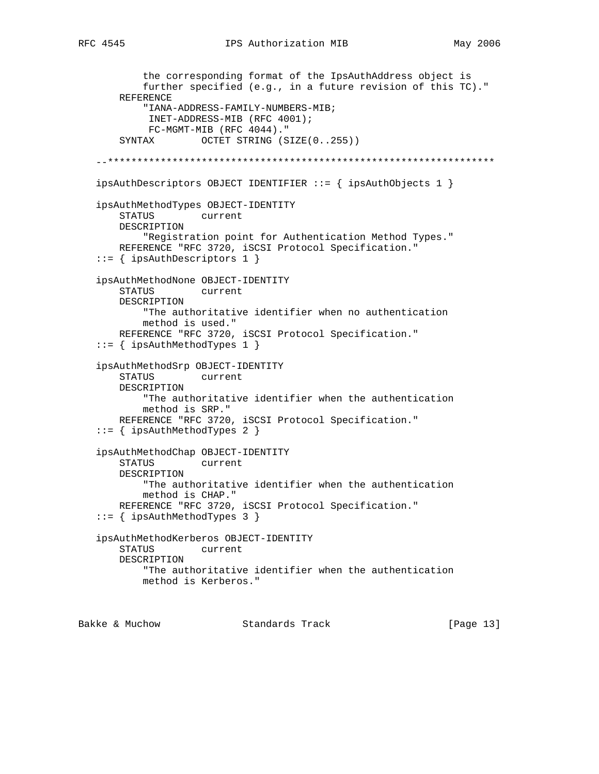```
 the corresponding format of the IpsAuthAddress object is
           further specified (e.g., in a future revision of this TC)."
       REFERENCE
            "IANA-ADDRESS-FAMILY-NUMBERS-MIB;
            INET-ADDRESS-MIB (RFC 4001);
            FC-MGMT-MIB (RFC 4044)."
       SYNTAX OCTET STRING (SIZE(0..255))
   --******************************************************************
   ipsAuthDescriptors OBJECT IDENTIFIER ::= { ipsAuthObjects 1 }
   ipsAuthMethodTypes OBJECT-IDENTITY
       STATUS current
       DESCRIPTION
           "Registration point for Authentication Method Types."
       REFERENCE "RFC 3720, iSCSI Protocol Specification."
    ::= { ipsAuthDescriptors 1 }
   ipsAuthMethodNone OBJECT-IDENTITY
       STATUS current
       DESCRIPTION
            "The authoritative identifier when no authentication
           method is used."
       REFERENCE "RFC 3720, iSCSI Protocol Specification."
    ::= { ipsAuthMethodTypes 1 }
   ipsAuthMethodSrp OBJECT-IDENTITY
       STATUS current
       DESCRIPTION
           "The authoritative identifier when the authentication
           method is SRP."
       REFERENCE "RFC 3720, iSCSI Protocol Specification."
    ::= { ipsAuthMethodTypes 2 }
   ipsAuthMethodChap OBJECT-IDENTITY
       STATUS current
       DESCRIPTION
           "The authoritative identifier when the authentication
           method is CHAP."
       REFERENCE "RFC 3720, iSCSI Protocol Specification."
    ::= { ipsAuthMethodTypes 3 }
   ipsAuthMethodKerberos OBJECT-IDENTITY
       STATUS current
       DESCRIPTION
           "The authoritative identifier when the authentication
           method is Kerberos."
Bakke & Muchow Standards Track [Page 13]
```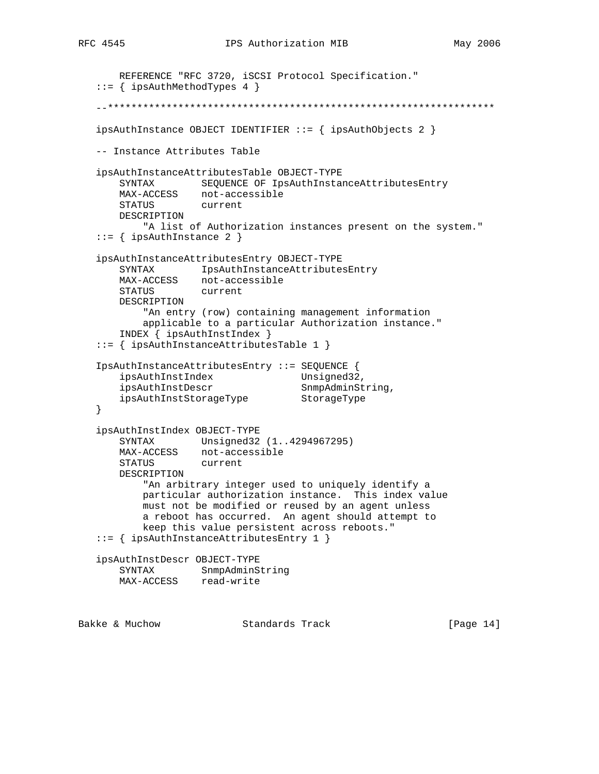```
 REFERENCE "RFC 3720, iSCSI Protocol Specification."
    ::= { ipsAuthMethodTypes 4 }
    --******************************************************************
   ipsAuthInstance OBJECT IDENTIFIER ::= { ipsAuthObjects 2 }
   -- Instance Attributes Table
   ipsAuthInstanceAttributesTable OBJECT-TYPE
       SYNTAX SEQUENCE OF IpsAuthInstanceAttributesEntry
      MAX-ACCESS not-accessible<br>STATUS current
      STATUS
       DESCRIPTION
           "A list of Authorization instances present on the system."
    ::= { ipsAuthInstance 2 }
   ipsAuthInstanceAttributesEntry OBJECT-TYPE
       SYNTAX IpsAuthInstanceAttributesEntry
       MAX-ACCESS not-accessible
       STATUS current
       DESCRIPTION
           "An entry (row) containing management information
           applicable to a particular Authorization instance."
       INDEX { ipsAuthInstIndex }
    ::= { ipsAuthInstanceAttributesTable 1 }
   IpsAuthInstanceAttributesEntry ::= SEQUENCE {
      ipsAuthInstIndex Unsigned32,<br>insAuthInstDesex Spradminst
ipsAuthInstDescr SnmpAdminString,
 ipsAuthInstStorageType StorageType
   }
   ipsAuthInstIndex OBJECT-TYPE
       SYNTAX Unsigned32 (1..4294967295)
       MAX-ACCESS not-accessible
       STATUS current
       DESCRIPTION
           "An arbitrary integer used to uniquely identify a
           particular authorization instance. This index value
           must not be modified or reused by an agent unless
           a reboot has occurred. An agent should attempt to
           keep this value persistent across reboots."
    ::= { ipsAuthInstanceAttributesEntry 1 }
   ipsAuthInstDescr OBJECT-TYPE
 SYNTAX SnmpAdminString
 MAX-ACCESS read-write
Bakke & Muchow Standards Track [Page 14]
```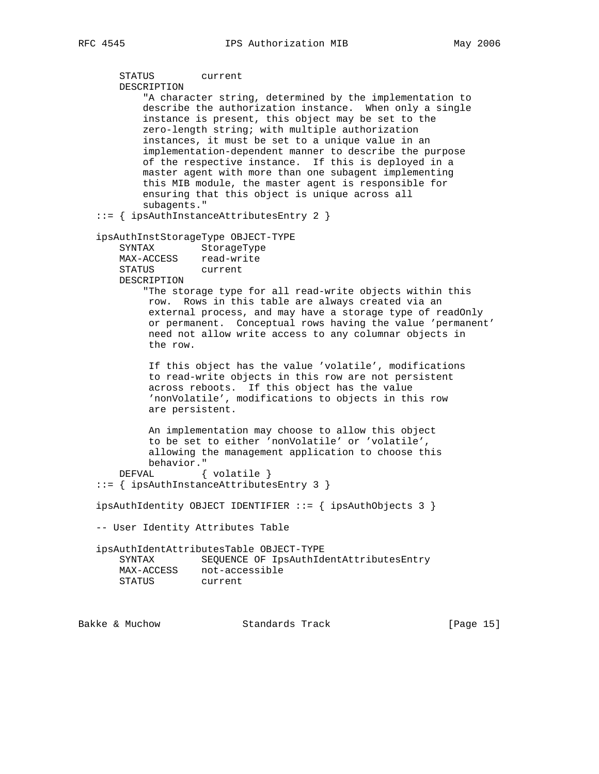```
 STATUS current
       DESCRIPTION
            "A character string, determined by the implementation to
           describe the authorization instance. When only a single
           instance is present, this object may be set to the
           zero-length string; with multiple authorization
           instances, it must be set to a unique value in an
           implementation-dependent manner to describe the purpose
           of the respective instance. If this is deployed in a
           master agent with more than one subagent implementing
           this MIB module, the master agent is responsible for
           ensuring that this object is unique across all
           subagents."
   ::= { ipsAuthInstanceAttributesEntry 2 }
   ipsAuthInstStorageType OBJECT-TYPE
       SYNTAX StorageType
       MAX-ACCESS read-write
       STATUS current
       DESCRIPTION
           "The storage type for all read-write objects within this
            row. Rows in this table are always created via an
           external process, and may have a storage type of readOnly
            or permanent. Conceptual rows having the value 'permanent'
            need not allow write access to any columnar objects in
            the row.
            If this object has the value 'volatile', modifications
            to read-write objects in this row are not persistent
            across reboots. If this object has the value
            'nonVolatile', modifications to objects in this row
            are persistent.
            An implementation may choose to allow this object
            to be set to either 'nonVolatile' or 'volatile',
            allowing the management application to choose this
            behavior."
      DEFVAL { volatile }
    ::= { ipsAuthInstanceAttributesEntry 3 }
   ipsAuthIdentity OBJECT IDENTIFIER ::= { ipsAuthObjects 3 }
   -- User Identity Attributes Table
   ipsAuthIdentAttributesTable OBJECT-TYPE
       SYNTAX SEQUENCE OF IpsAuthIdentAttributesEntry
      MAX-ACCESS not-accessible<br>STATUS current
      STATUS
Bakke & Muchow Standards Track [Page 15]
```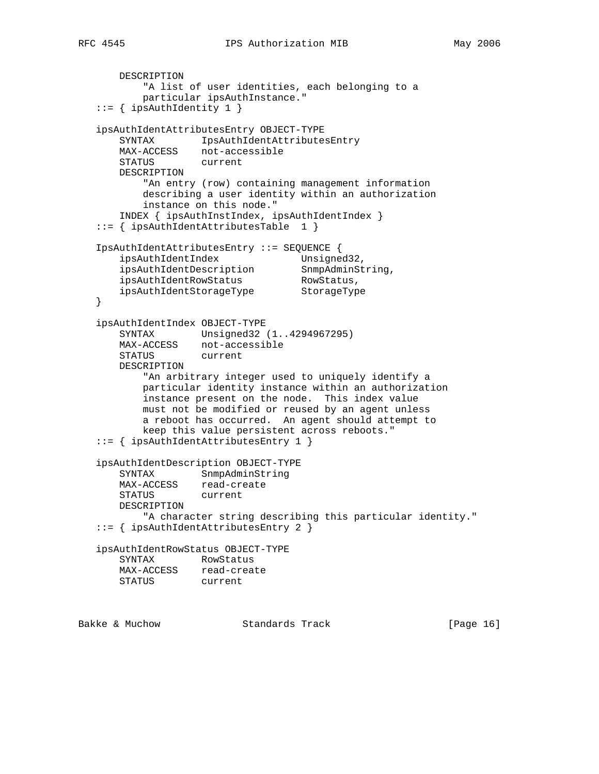```
 DESCRIPTION
         "A list of user identities, each belonging to a
        particular ipsAuthInstance."
 ::= { ipsAuthIdentity 1 }
 ipsAuthIdentAttributesEntry OBJECT-TYPE
     SYNTAX IpsAuthIdentAttributesEntry
    MAX-ACCESS not-accessible
    STATUS current
    DESCRIPTION
         "An entry (row) containing management information
        describing a user identity within an authorization
        instance on this node."
```

```
 INDEX { ipsAuthInstIndex, ipsAuthIdentIndex }
 ::= { ipsAuthIdentAttributesTable 1 }
```

```
 IpsAuthIdentAttributesEntry ::= SEQUENCE {
ipsAuthIdentIndex Unsigned32,
 ipsAuthIdentDescription SnmpAdminString,
ipsAuthIdentRowStatus RowStatus,
 ipsAuthIdentStorageType StorageType
   }
```

```
 ipsAuthIdentIndex OBJECT-TYPE
    SYNTAX Unsigned32 (1..4294967295)
    MAX-ACCESS not-accessible
    STATUS current
    DESCRIPTION
         "An arbitrary integer used to uniquely identify a
        particular identity instance within an authorization
        instance present on the node. This index value
        must not be modified or reused by an agent unless
        a reboot has occurred. An agent should attempt to
        keep this value persistent across reboots."
 ::= { ipsAuthIdentAttributesEntry 1 }
 ipsAuthIdentDescription OBJECT-TYPE
```

```
 SYNTAX SnmpAdminString
    MAX-ACCESS read-create
    STATUS current
    DESCRIPTION
        "A character string describing this particular identity."
 ::= { ipsAuthIdentAttributesEntry 2 }
```
 ipsAuthIdentRowStatus OBJECT-TYPE SYNTAX RowStatus MAX-ACCESS read-create STATUS current

```
Bakke & Muchow Standards Track [Page 16]
```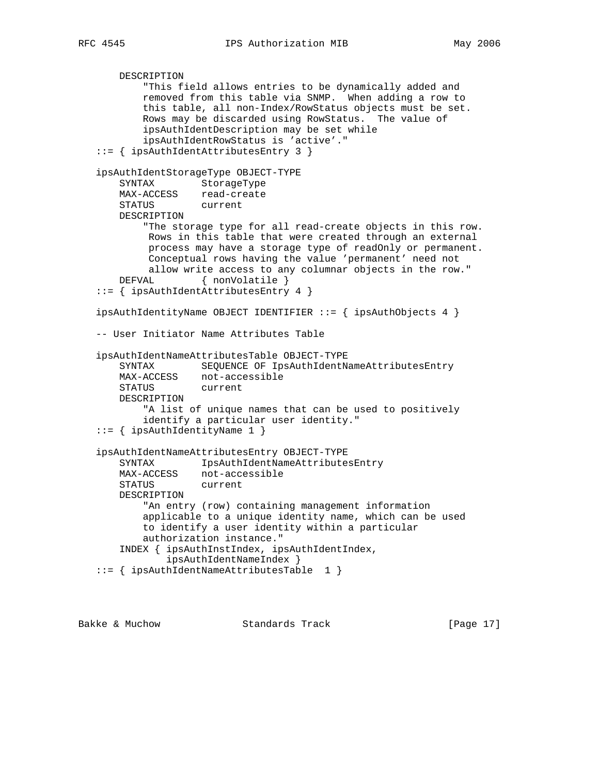```
 DESCRIPTION
         "This field allows entries to be dynamically added and
         removed from this table via SNMP. When adding a row to
         this table, all non-Index/RowStatus objects must be set.
        Rows may be discarded using RowStatus. The value of
         ipsAuthIdentDescription may be set while
         ipsAuthIdentRowStatus is 'active'."
 ::= { ipsAuthIdentAttributesEntry 3 }
 ipsAuthIdentStorageType OBJECT-TYPE
    SYNTAX StorageType
    MAX-ACCESS read-create
    STATUS current
    DESCRIPTION
         "The storage type for all read-create objects in this row.
         Rows in this table that were created through an external
         process may have a storage type of readOnly or permanent.
         Conceptual rows having the value 'permanent' need not
         allow write access to any columnar objects in the row."
   DEFVAL { nonVolatile }
 ::= { ipsAuthIdentAttributesEntry 4 }
 ipsAuthIdentityName OBJECT IDENTIFIER ::= { ipsAuthObjects 4 }
 -- User Initiator Name Attributes Table
 ipsAuthIdentNameAttributesTable OBJECT-TYPE
     SYNTAX SEQUENCE OF IpsAuthIdentNameAttributesEntry
   MAX-ACCESS not-accessible<br>STATUS current
   STATUS
    DESCRIPTION
         "A list of unique names that can be used to positively
         identify a particular user identity."
 ::= { ipsAuthIdentityName 1 }
 ipsAuthIdentNameAttributesEntry OBJECT-TYPE
     SYNTAX IpsAuthIdentNameAttributesEntry
    MAX-ACCESS not-accessible
    STATUS current
    DESCRIPTION
         "An entry (row) containing management information
         applicable to a unique identity name, which can be used
         to identify a user identity within a particular
        authorization instance."
     INDEX { ipsAuthInstIndex, ipsAuthIdentIndex,
             ipsAuthIdentNameIndex }
 ::= { ipsAuthIdentNameAttributesTable 1 }
```
Bakke & Muchow Standards Track [Page 17]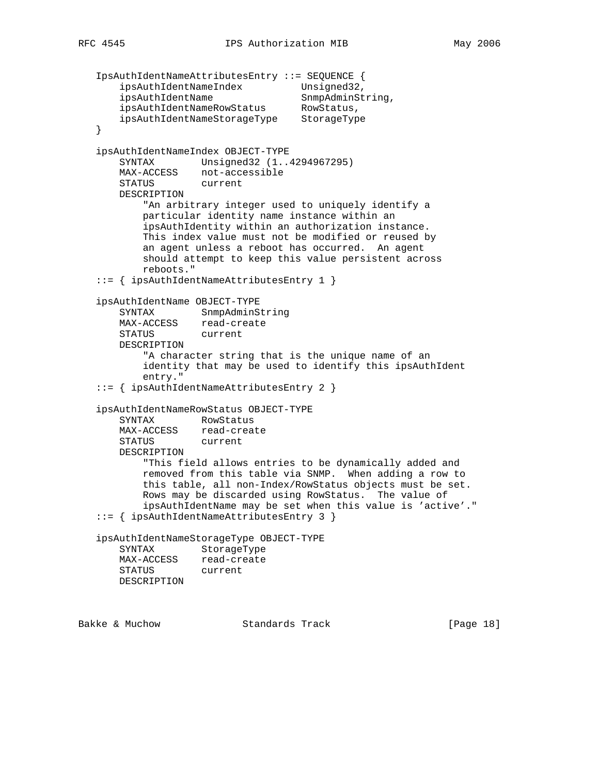```
 IpsAuthIdentNameAttributesEntry ::= SEQUENCE {
    ipsAuthIdentNameIndex Unsigned32,
   ipsAuthIdentName SnmpAdminString,
    ipsAuthIdentNameRowStatus RowStatus,
    ipsAuthIdentNameStorageType StorageType
 }
 ipsAuthIdentNameIndex OBJECT-TYPE
    SYNTAX Unsigned32 (1..4294967295)
    MAX-ACCESS not-accessible
    STATUS current
    DESCRIPTION
        "An arbitrary integer used to uniquely identify a
        particular identity name instance within an
        ipsAuthIdentity within an authorization instance.
        This index value must not be modified or reused by
        an agent unless a reboot has occurred. An agent
        should attempt to keep this value persistent across
        reboots."
 ::= { ipsAuthIdentNameAttributesEntry 1 }
 ipsAuthIdentName OBJECT-TYPE
    SYNTAX SnmpAdminString
    MAX-ACCESS read-create
    STATUS current
    DESCRIPTION
         "A character string that is the unique name of an
        identity that may be used to identify this ipsAuthIdent
        entry."
 ::= { ipsAuthIdentNameAttributesEntry 2 }
 ipsAuthIdentNameRowStatus OBJECT-TYPE
    SYNTAX RowStatus
    MAX-ACCESS read-create
    STATUS current
    DESCRIPTION
        "This field allows entries to be dynamically added and
        removed from this table via SNMP. When adding a row to
        this table, all non-Index/RowStatus objects must be set.
        Rows may be discarded using RowStatus. The value of
        ipsAuthIdentName may be set when this value is 'active'."
 ::= { ipsAuthIdentNameAttributesEntry 3 }
 ipsAuthIdentNameStorageType OBJECT-TYPE
    SYNTAX StorageType
    MAX-ACCESS read-create
    STATUS current
    DESCRIPTION
```
Bakke & Muchow **Standards Track** [Page 18]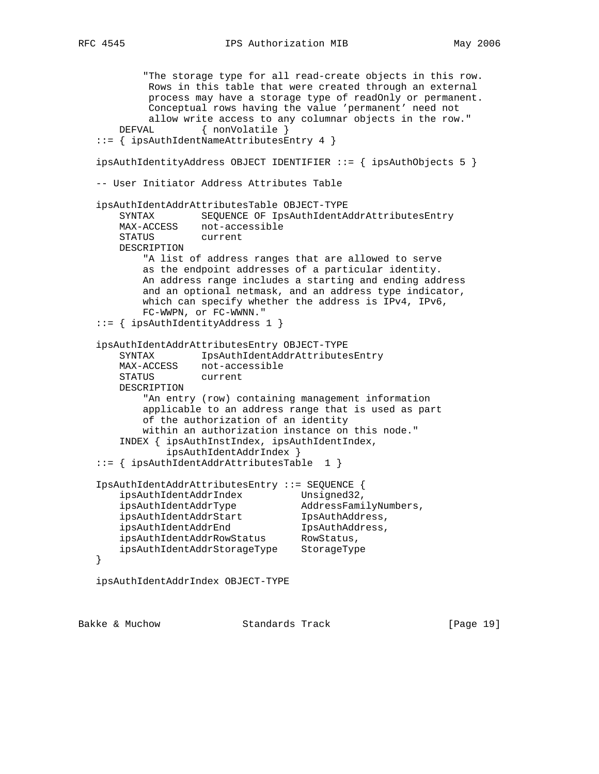```
 "The storage type for all read-create objects in this row.
            Rows in this table that were created through an external
            process may have a storage type of readOnly or permanent.
            Conceptual rows having the value 'permanent' need not
            allow write access to any columnar objects in the row."
      DEFVAL { nonVolatile }
   ::= { ipsAuthIdentNameAttributesEntry 4 }
   ipsAuthIdentityAddress OBJECT IDENTIFIER ::= { ipsAuthObjects 5 }
   -- User Initiator Address Attributes Table
   ipsAuthIdentAddrAttributesTable OBJECT-TYPE
       SYNTAX SEQUENCE OF IpsAuthIdentAddrAttributesEntry
       MAX-ACCESS not-accessible
       STATUS current
       DESCRIPTION
           "A list of address ranges that are allowed to serve
           as the endpoint addresses of a particular identity.
           An address range includes a starting and ending address
           and an optional netmask, and an address type indicator,
           which can specify whether the address is IPv4, IPv6,
           FC-WWPN, or FC-WWNN."
   ::= { ipsAuthIdentityAddress 1 }
   ipsAuthIdentAddrAttributesEntry OBJECT-TYPE
       SYNTAX IpsAuthIdentAddrAttributesEntry
      MAX-ACCESS not-accessible<br>STATUS current
      STATUS
       DESCRIPTION
           "An entry (row) containing management information
           applicable to an address range that is used as part
           of the authorization of an identity
           within an authorization instance on this node."
       INDEX { ipsAuthInstIndex, ipsAuthIdentIndex,
               ipsAuthIdentAddrIndex }
   ::= { ipsAuthIdentAddrAttributesTable 1 }
   IpsAuthIdentAddrAttributesEntry ::= SEQUENCE {
 ipsAuthIdentAddrIndex Unsigned32,
 ipsAuthIdentAddrType AddressFamilyNumbers,
 ipsAuthIdentAddrStart IpsAuthAddress,
 ipsAuthIdentAddrEnd IpsAuthAddress,
 ipsAuthIdentAddrRowStatus RowStatus,
 ipsAuthIdentAddrStorageType StorageType
   }
   ipsAuthIdentAddrIndex OBJECT-TYPE
```
Bakke & Muchow Standards Track [Page 19]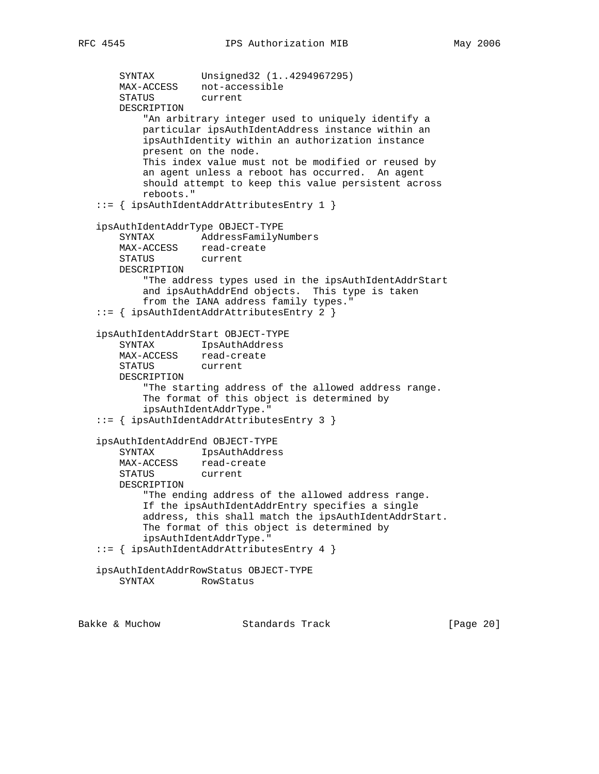```
 SYNTAX Unsigned32 (1..4294967295)
       MAX-ACCESS not-accessible
       STATUS current
       DESCRIPTION
            "An arbitrary integer used to uniquely identify a
           particular ipsAuthIdentAddress instance within an
           ipsAuthIdentity within an authorization instance
           present on the node.
           This index value must not be modified or reused by
           an agent unless a reboot has occurred. An agent
           should attempt to keep this value persistent across
           reboots."
   ::= { ipsAuthIdentAddrAttributesEntry 1 }
   ipsAuthIdentAddrType OBJECT-TYPE
       SYNTAX AddressFamilyNumbers
      MAX-ACCESS read-create<br>STATUS current
      STATUS
       DESCRIPTION
           "The address types used in the ipsAuthIdentAddrStart
           and ipsAuthAddrEnd objects. This type is taken
           from the IANA address family types."
   ::= { ipsAuthIdentAddrAttributesEntry 2 }
   ipsAuthIdentAddrStart OBJECT-TYPE
 SYNTAX IpsAuthAddress
 MAX-ACCESS read-create
       STATUS current
       DESCRIPTION
            "The starting address of the allowed address range.
           The format of this object is determined by
           ipsAuthIdentAddrType."
   ::= { ipsAuthIdentAddrAttributesEntry 3 }
   ipsAuthIdentAddrEnd OBJECT-TYPE
       SYNTAX IpsAuthAddress
      MAX-ACCESS read-create<br>STATUS current
      STATUS
       DESCRIPTION
            "The ending address of the allowed address range.
           If the ipsAuthIdentAddrEntry specifies a single
           address, this shall match the ipsAuthIdentAddrStart.
           The format of this object is determined by
           ipsAuthIdentAddrType."
   ::= { ipsAuthIdentAddrAttributesEntry 4 }
   ipsAuthIdentAddrRowStatus OBJECT-TYPE
       SYNTAX RowStatus
```
Bakke & Muchow **Standards Track** [Page 20]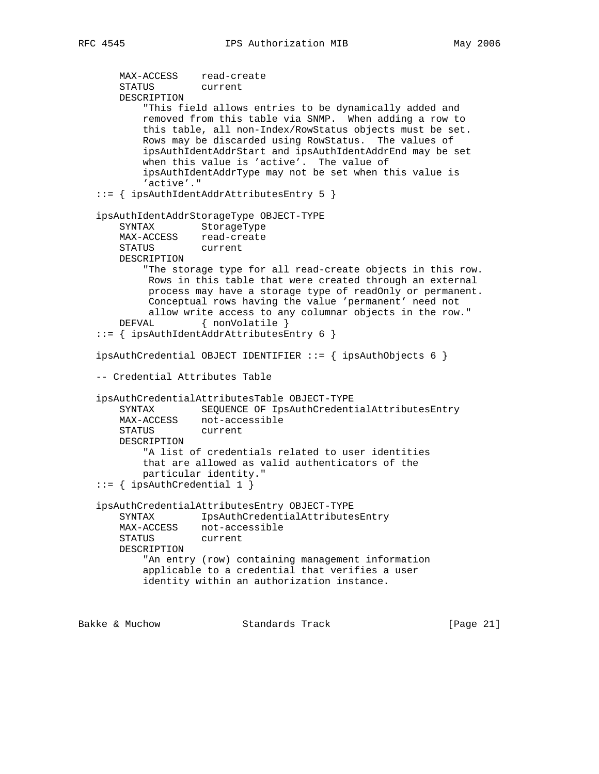```
 MAX-ACCESS read-create
    STATUS current
    DESCRIPTION
         "This field allows entries to be dynamically added and
        removed from this table via SNMP. When adding a row to
        this table, all non-Index/RowStatus objects must be set.
        Rows may be discarded using RowStatus. The values of
         ipsAuthIdentAddrStart and ipsAuthIdentAddrEnd may be set
        when this value is 'active'. The value of
         ipsAuthIdentAddrType may not be set when this value is
         'active'."
 ::= { ipsAuthIdentAddrAttributesEntry 5 }
 ipsAuthIdentAddrStorageType OBJECT-TYPE
    SYNTAX StorageType
   MAX-ACCESS read-create<br>STATUS current
   STATUS
    DESCRIPTION
         "The storage type for all read-create objects in this row.
         Rows in this table that were created through an external
         process may have a storage type of readOnly or permanent.
         Conceptual rows having the value 'permanent' need not
         allow write access to any columnar objects in the row."
   DEFVAL { nonVolatile }
 ::= { ipsAuthIdentAddrAttributesEntry 6 }
ipsAuthCredential OBJECT IDENTIFIER ::= { ipsAuthObjects 6 }
 -- Credential Attributes Table
 ipsAuthCredentialAttributesTable OBJECT-TYPE
    SYNTAX SEQUENCE OF IpsAuthCredentialAttributesEntry
    MAX-ACCESS not-accessible
    STATUS current
    DESCRIPTION
         "A list of credentials related to user identities
        that are allowed as valid authenticators of the
        particular identity."
 ::= { ipsAuthCredential 1 }
 ipsAuthCredentialAttributesEntry OBJECT-TYPE
    SYNTAX IpsAuthCredentialAttributesEntry
    MAX-ACCESS not-accessible
    STATUS current
    DESCRIPTION
         "An entry (row) containing management information
        applicable to a credential that verifies a user
        identity within an authorization instance.
```
Bakke & Muchow Standards Track [Page 21]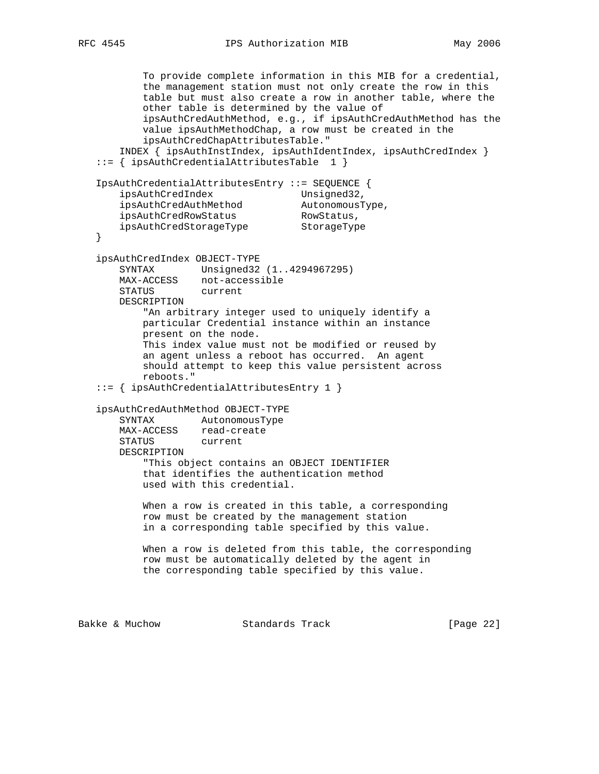To provide complete information in this MIB for a credential, the management station must not only create the row in this table but must also create a row in another table, where the other table is determined by the value of ipsAuthCredAuthMethod, e.g., if ipsAuthCredAuthMethod has the value ipsAuthMethodChap, a row must be created in the ipsAuthCredChapAttributesTable." INDEX { ipsAuthInstIndex, ipsAuthIdentIndex, ipsAuthCredIndex } ::= { ipsAuthCredentialAttributesTable 1 } IpsAuthCredentialAttributesEntry ::= SEQUENCE { ipsAuthCredIndex Unsigned32, ipsAuthCredAuthMethod AutonomousType, ipsAuthCredRowStatus RowStatus, ipsAuthCredStorageType StorageType } ipsAuthCredIndex OBJECT-TYPE SYNTAX Unsigned32 (1..4294967295) MAX-ACCESS not-accessible STATUS current DESCRIPTION "An arbitrary integer used to uniquely identify a particular Credential instance within an instance present on the node. This index value must not be modified or reused by an agent unless a reboot has occurred. An agent should attempt to keep this value persistent across reboots." ::= { ipsAuthCredentialAttributesEntry 1 } ipsAuthCredAuthMethod OBJECT-TYPE SYNTAX AutonomousType MAX-ACCESS read-create STATUS current DESCRIPTION "This object contains an OBJECT IDENTIFIER that identifies the authentication method used with this credential. When a row is created in this table, a corresponding row must be created by the management station in a corresponding table specified by this value. When a row is deleted from this table, the corresponding row must be automatically deleted by the agent in the corresponding table specified by this value. Bakke & Muchow Standards Track [Page 22]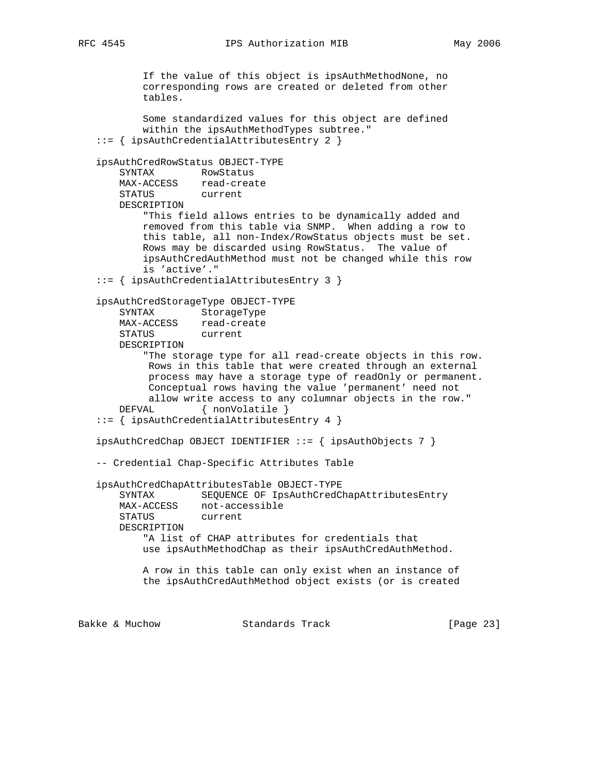If the value of this object is ipsAuthMethodNone, no corresponding rows are created or deleted from other tables. Some standardized values for this object are defined within the ipsAuthMethodTypes subtree." ::= { ipsAuthCredentialAttributesEntry 2 } ipsAuthCredRowStatus OBJECT-TYPE SYNTAX RowStatus MAX-ACCESS read-create STATUS current DESCRIPTION "This field allows entries to be dynamically added and removed from this table via SNMP. When adding a row to this table, all non-Index/RowStatus objects must be set. Rows may be discarded using RowStatus. The value of ipsAuthCredAuthMethod must not be changed while this row is 'active'." ::= { ipsAuthCredentialAttributesEntry 3 } ipsAuthCredStorageType OBJECT-TYPE SYNTAX StorageType MAX-ACCESS read-create STATUS current DESCRIPTION "The storage type for all read-create objects in this row. Rows in this table that were created through an external process may have a storage type of readOnly or permanent. Conceptual rows having the value 'permanent' need not allow write access to any columnar objects in the row." DEFVAL { nonVolatile } ::= { ipsAuthCredentialAttributesEntry 4 } ipsAuthCredChap OBJECT IDENTIFIER ::= { ipsAuthObjects 7 } -- Credential Chap-Specific Attributes Table ipsAuthCredChapAttributesTable OBJECT-TYPE SYNTAX SEQUENCE OF IpsAuthCredChapAttributesEntry MAX-ACCESS not-accessible STATUS current DESCRIPTION "A list of CHAP attributes for credentials that use ipsAuthMethodChap as their ipsAuthCredAuthMethod. A row in this table can only exist when an instance of the ipsAuthCredAuthMethod object exists (or is created

Bakke & Muchow Standards Track [Page 23]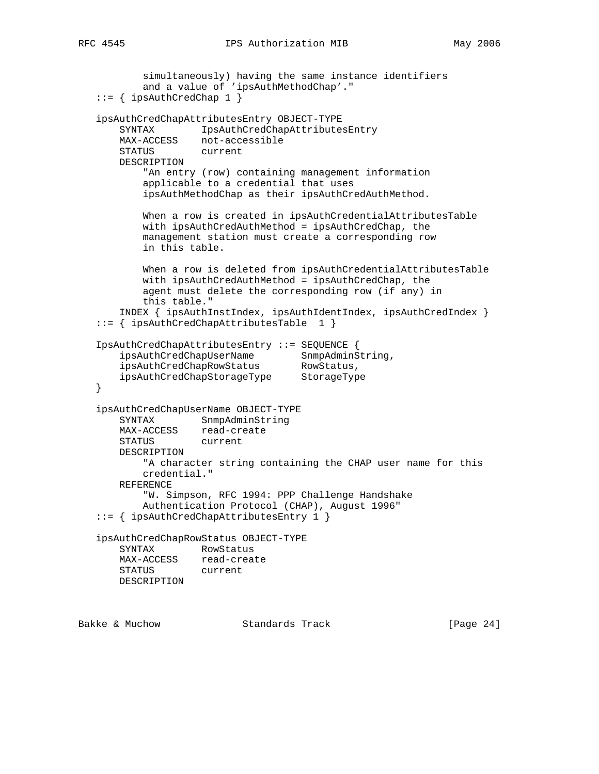```
 simultaneously) having the same instance identifiers
           and a value of 'ipsAuthMethodChap'."
   ::= { ipsAuthCredChap 1 }
   ipsAuthCredChapAttributesEntry OBJECT-TYPE
       SYNTAX IpsAuthCredChapAttributesEntry
       MAX-ACCESS not-accessible
       STATUS current
       DESCRIPTION
           "An entry (row) containing management information
           applicable to a credential that uses
           ipsAuthMethodChap as their ipsAuthCredAuthMethod.
           When a row is created in ipsAuthCredentialAttributesTable
           with ipsAuthCredAuthMethod = ipsAuthCredChap, the
           management station must create a corresponding row
           in this table.
           When a row is deleted from ipsAuthCredentialAttributesTable
           with ipsAuthCredAuthMethod = ipsAuthCredChap, the
           agent must delete the corresponding row (if any) in
           this table."
       INDEX { ipsAuthInstIndex, ipsAuthIdentIndex, ipsAuthCredIndex }
   ::= { ipsAuthCredChapAttributesTable 1 }
   IpsAuthCredChapAttributesEntry ::= SEQUENCE {
ipsAuthCredChapUserName SnmpAdminString,
ipsAuthCredChapRowStatus RowStatus,
 ipsAuthCredChapStorageType StorageType
   }
   ipsAuthCredChapUserName OBJECT-TYPE
       SYNTAX SnmpAdminString
       MAX-ACCESS read-create
       STATUS current
       DESCRIPTION
           "A character string containing the CHAP user name for this
           credential."
       REFERENCE
           "W. Simpson, RFC 1994: PPP Challenge Handshake
           Authentication Protocol (CHAP), August 1996"
   ::= { ipsAuthCredChapAttributesEntry 1 }
   ipsAuthCredChapRowStatus OBJECT-TYPE
       SYNTAX RowStatus
       MAX-ACCESS read-create
       STATUS current
       DESCRIPTION
```
Bakke & Muchow Standards Track [Page 24]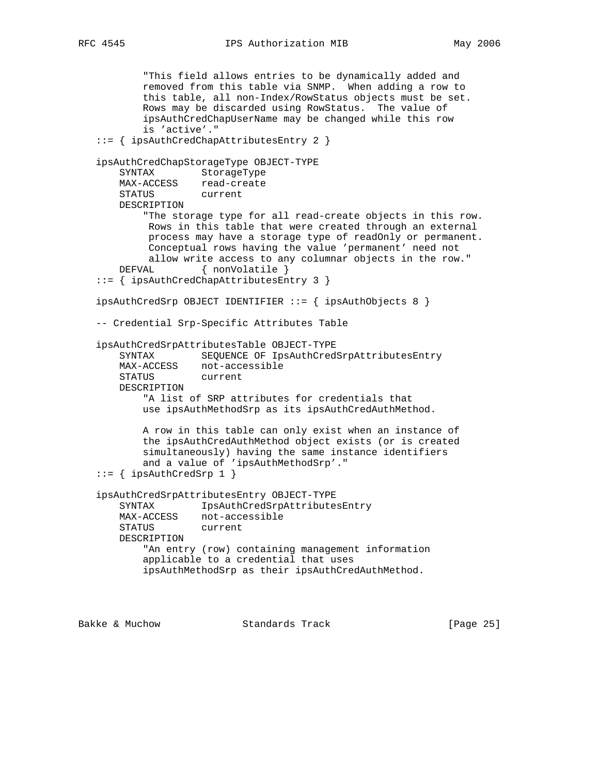```
 "This field allows entries to be dynamically added and
         removed from this table via SNMP. When adding a row to
         this table, all non-Index/RowStatus objects must be set.
         Rows may be discarded using RowStatus. The value of
         ipsAuthCredChapUserName may be changed while this row
         is 'active'."
 ::= { ipsAuthCredChapAttributesEntry 2 }
 ipsAuthCredChapStorageType OBJECT-TYPE
    SYNTAX StorageType
    MAX-ACCESS read-create
    STATUS current
    DESCRIPTION
         "The storage type for all read-create objects in this row.
         Rows in this table that were created through an external
         process may have a storage type of readOnly or permanent.
          Conceptual rows having the value 'permanent' need not
         allow write access to any columnar objects in the row."
   DEFVAL { nonVolatile }
 ::= { ipsAuthCredChapAttributesEntry 3 }
 ipsAuthCredSrp OBJECT IDENTIFIER ::= { ipsAuthObjects 8 }
 -- Credential Srp-Specific Attributes Table
 ipsAuthCredSrpAttributesTable OBJECT-TYPE
    SYNTAX SEQUENCE OF IpsAuthCredSrpAttributesEntry
   MAX-ACCESS not-accessible<br>STATUS current
   STATUS
    DESCRIPTION
         "A list of SRP attributes for credentials that
         use ipsAuthMethodSrp as its ipsAuthCredAuthMethod.
         A row in this table can only exist when an instance of
         the ipsAuthCredAuthMethod object exists (or is created
         simultaneously) having the same instance identifiers
         and a value of 'ipsAuthMethodSrp'."
::= { ipsAuthCredSrp 1 }
 ipsAuthCredSrpAttributesEntry OBJECT-TYPE
    SYNTAX IpsAuthCredSrpAttributesEntry
   MAX-ACCESS not-accessible<br>STATUS current
   STATUS
    DESCRIPTION
         "An entry (row) containing management information
         applicable to a credential that uses
         ipsAuthMethodSrp as their ipsAuthCredAuthMethod.
```
Bakke & Muchow Standards Track [Page 25]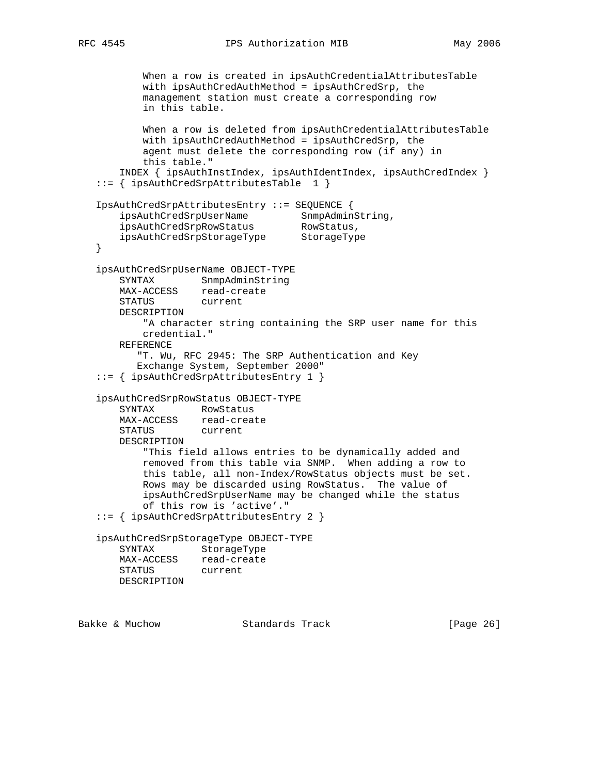```
 When a row is created in ipsAuthCredentialAttributesTable
           with ipsAuthCredAuthMethod = ipsAuthCredSrp, the
           management station must create a corresponding row
           in this table.
           When a row is deleted from ipsAuthCredentialAttributesTable
           with ipsAuthCredAuthMethod = ipsAuthCredSrp, the
           agent must delete the corresponding row (if any) in
           this table."
       INDEX { ipsAuthInstIndex, ipsAuthIdentIndex, ipsAuthCredIndex }
   ::= { ipsAuthCredSrpAttributesTable 1 }
   IpsAuthCredSrpAttributesEntry ::= SEQUENCE {
ipsAuthCredSrpUserName SnmpAdminString,
 ipsAuthCredSrpRowStatus RowStatus,
 ipsAuthCredSrpStorageType StorageType
   }
   ipsAuthCredSrpUserName OBJECT-TYPE
       SYNTAX SnmpAdminString
       MAX-ACCESS read-create
       STATUS current
       DESCRIPTION
           "A character string containing the SRP user name for this
           credential."
       REFERENCE
          "T. Wu, RFC 2945: The SRP Authentication and Key
          Exchange System, September 2000"
   ::= { ipsAuthCredSrpAttributesEntry 1 }
   ipsAuthCredSrpRowStatus OBJECT-TYPE
       SYNTAX RowStatus
       MAX-ACCESS read-create
       STATUS current
       DESCRIPTION
           "This field allows entries to be dynamically added and
           removed from this table via SNMP. When adding a row to
           this table, all non-Index/RowStatus objects must be set.
           Rows may be discarded using RowStatus. The value of
           ipsAuthCredSrpUserName may be changed while the status
           of this row is 'active'."
   ::= { ipsAuthCredSrpAttributesEntry 2 }
   ipsAuthCredSrpStorageType OBJECT-TYPE
       SYNTAX StorageType
       MAX-ACCESS read-create
       STATUS current
       DESCRIPTION
```
Bakke & Muchow Standards Track [Page 26]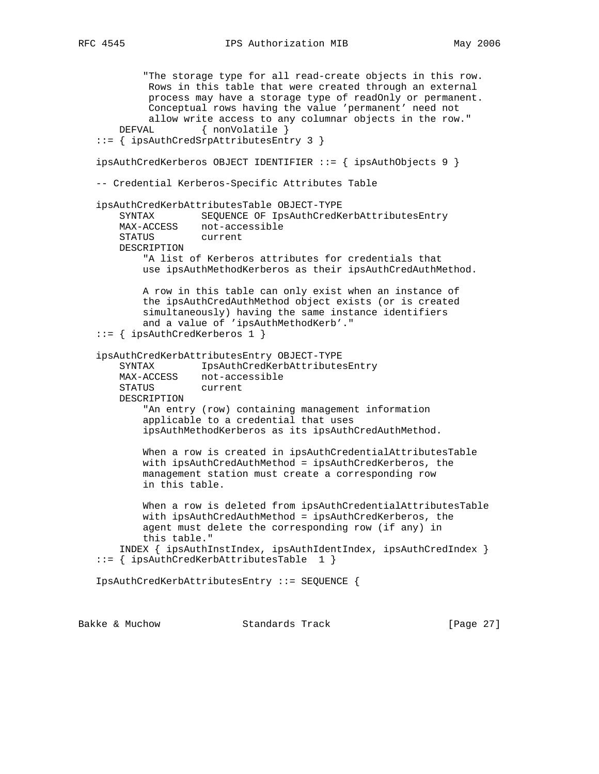```
 "The storage type for all read-create objects in this row.
         Rows in this table that were created through an external
         process may have a storage type of readOnly or permanent.
         Conceptual rows having the value 'permanent' need not
   allow write access to any columnar objects in the row."<br>DEFVAL \{ nonVolatile \}\{ nonVolatile \} ::= { ipsAuthCredSrpAttributesEntry 3 }
 ipsAuthCredKerberos OBJECT IDENTIFIER ::= { ipsAuthObjects 9 }
 -- Credential Kerberos-Specific Attributes Table
 ipsAuthCredKerbAttributesTable OBJECT-TYPE
    SYNTAX SEQUENCE OF IpsAuthCredKerbAttributesEntry
    MAX-ACCESS not-accessible
    STATUS current
    DESCRIPTION
         "A list of Kerberos attributes for credentials that
       use ipsAuthMethodKerberos as their ipsAuthCredAuthMethod.
         A row in this table can only exist when an instance of
         the ipsAuthCredAuthMethod object exists (or is created
         simultaneously) having the same instance identifiers
         and a value of 'ipsAuthMethodKerb'."
 ::= { ipsAuthCredKerberos 1 }
 ipsAuthCredKerbAttributesEntry OBJECT-TYPE
     SYNTAX IpsAuthCredKerbAttributesEntry
    MAX-ACCESS not-accessible
    STATUS current
    DESCRIPTION
         "An entry (row) containing management information
         applicable to a credential that uses
         ipsAuthMethodKerberos as its ipsAuthCredAuthMethod.
         When a row is created in ipsAuthCredentialAttributesTable
         with ipsAuthCredAuthMethod = ipsAuthCredKerberos, the
         management station must create a corresponding row
         in this table.
         When a row is deleted from ipsAuthCredentialAttributesTable
         with ipsAuthCredAuthMethod = ipsAuthCredKerberos, the
         agent must delete the corresponding row (if any) in
         this table."
     INDEX { ipsAuthInstIndex, ipsAuthIdentIndex, ipsAuthCredIndex }
 ::= { ipsAuthCredKerbAttributesTable 1 }
```

```
 IpsAuthCredKerbAttributesEntry ::= SEQUENCE {
```
Bakke & Muchow Standards Track [Page 27]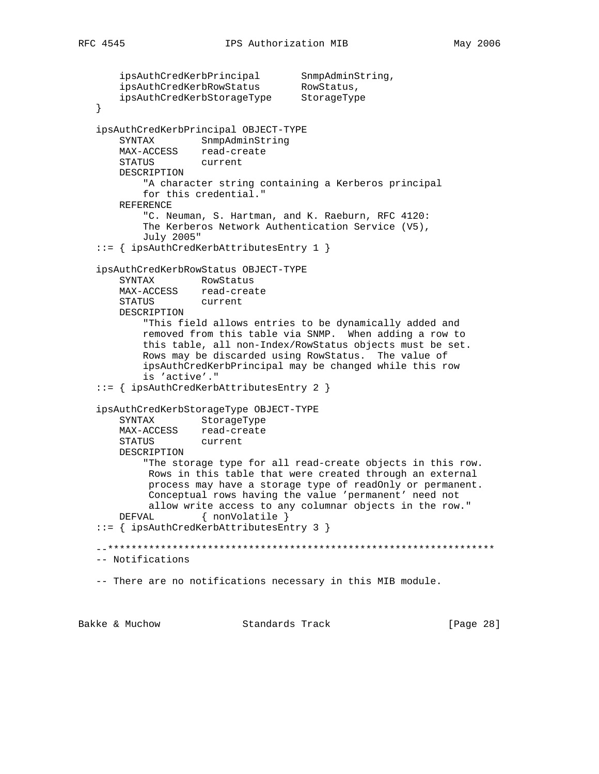```
 ipsAuthCredKerbPrincipal SnmpAdminString,
ipsAuthCredKerbRowStatus RowStatus,
 ipsAuthCredKerbStorageType StorageType
   }
   ipsAuthCredKerbPrincipal OBJECT-TYPE
       SYNTAX SnmpAdminString
       MAX-ACCESS read-create
       STATUS current
       DESCRIPTION
           "A character string containing a Kerberos principal
           for this credential."
       REFERENCE
           "C. Neuman, S. Hartman, and K. Raeburn, RFC 4120:
           The Kerberos Network Authentication Service (V5),
           July 2005"
   ::= { ipsAuthCredKerbAttributesEntry 1 }
   ipsAuthCredKerbRowStatus OBJECT-TYPE
       SYNTAX RowStatus
       MAX-ACCESS read-create
       STATUS current
       DESCRIPTION
           "This field allows entries to be dynamically added and
           removed from this table via SNMP. When adding a row to
           this table, all non-Index/RowStatus objects must be set.
           Rows may be discarded using RowStatus. The value of
           ipsAuthCredKerbPrincipal may be changed while this row
           is 'active'."
   ::= { ipsAuthCredKerbAttributesEntry 2 }
   ipsAuthCredKerbStorageType OBJECT-TYPE
       SYNTAX StorageType
       MAX-ACCESS read-create
       STATUS current
       DESCRIPTION
           "The storage type for all read-create objects in this row.
            Rows in this table that were created through an external
            process may have a storage type of readOnly or permanent.
            Conceptual rows having the value 'permanent' need not
            allow write access to any columnar objects in the row."
      DEFVAL { nonVolatile }
   ::= { ipsAuthCredKerbAttributesEntry 3 }
   --******************************************************************
   -- Notifications
   -- There are no notifications necessary in this MIB module.
```
Bakke & Muchow Standards Track [Page 28]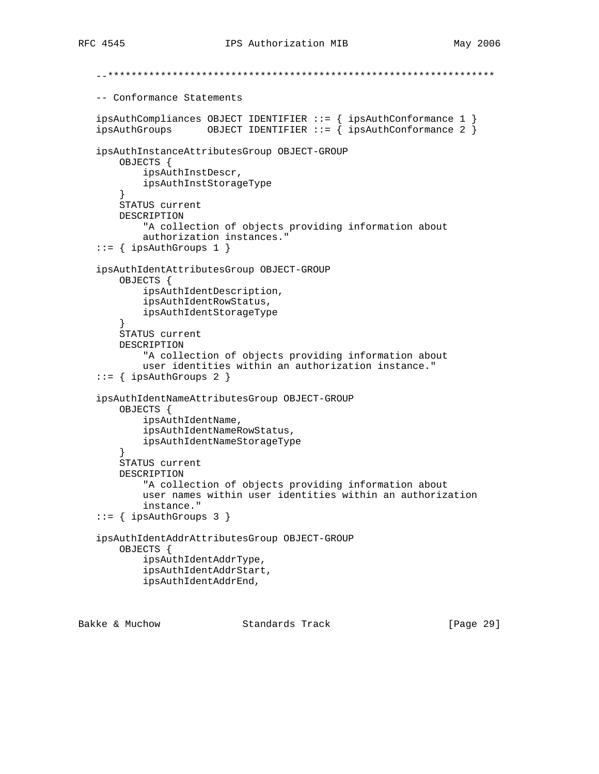```
 --******************************************************************
   -- Conformance Statements
 ipsAuthCompliances OBJECT IDENTIFIER ::= { ipsAuthConformance 1 }
 ipsAuthGroups OBJECT IDENTIFIER ::= { ipsAuthConformance 2 }
   ipsAuthInstanceAttributesGroup OBJECT-GROUP
       OBJECTS {
            ipsAuthInstDescr,
            ipsAuthInstStorageType
        }
       STATUS current
       DESCRIPTION
            "A collection of objects providing information about
            authorization instances."
    ::= { ipsAuthGroups 1 }
   ipsAuthIdentAttributesGroup OBJECT-GROUP
        OBJECTS {
            ipsAuthIdentDescription,
            ipsAuthIdentRowStatus,
            ipsAuthIdentStorageType
        }
       STATUS current
       DESCRIPTION
            "A collection of objects providing information about
            user identities within an authorization instance."
   ::= { ipsAuthGroups 2 }
   ipsAuthIdentNameAttributesGroup OBJECT-GROUP
       OBJECTS {
            ipsAuthIdentName,
            ipsAuthIdentNameRowStatus,
            ipsAuthIdentNameStorageType
        }
       STATUS current
       DESCRIPTION
            "A collection of objects providing information about
            user names within user identities within an authorization
            instance."
  ::= { ipsAuthGroups 3 }
   ipsAuthIdentAddrAttributesGroup OBJECT-GROUP
       OBJECTS {
            ipsAuthIdentAddrType,
            ipsAuthIdentAddrStart,
            ipsAuthIdentAddrEnd,
```
Bakke & Muchow Standards Track [Page 29]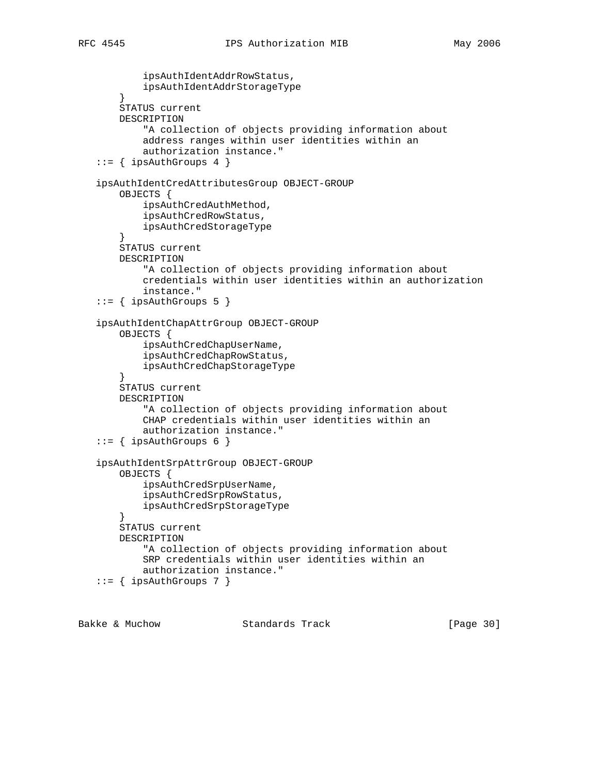```
 ipsAuthIdentAddrRowStatus,
            ipsAuthIdentAddrStorageType
        }
        STATUS current
        DESCRIPTION
            "A collection of objects providing information about
            address ranges within user identities within an
            authorization instance."
   ::= { ipsAuthGroups 4 }
   ipsAuthIdentCredAttributesGroup OBJECT-GROUP
       OBJECTS {
            ipsAuthCredAuthMethod,
            ipsAuthCredRowStatus,
            ipsAuthCredStorageType
        }
        STATUS current
       DESCRIPTION
            "A collection of objects providing information about
            credentials within user identities within an authorization
            instance."
    ::= { ipsAuthGroups 5 }
   ipsAuthIdentChapAttrGroup OBJECT-GROUP
        OBJECTS {
            ipsAuthCredChapUserName,
            ipsAuthCredChapRowStatus,
            ipsAuthCredChapStorageType
 }
        STATUS current
        DESCRIPTION
            "A collection of objects providing information about
            CHAP credentials within user identities within an
            authorization instance."
   ::= { ipsAuthGroups 6 }
   ipsAuthIdentSrpAttrGroup OBJECT-GROUP
        OBJECTS {
            ipsAuthCredSrpUserName,
            ipsAuthCredSrpRowStatus,
            ipsAuthCredSrpStorageType
 }
        STATUS current
        DESCRIPTION
            "A collection of objects providing information about
            SRP credentials within user identities within an
            authorization instance."
    ::= { ipsAuthGroups 7 }
```
Bakke & Muchow Standards Track [Page 30]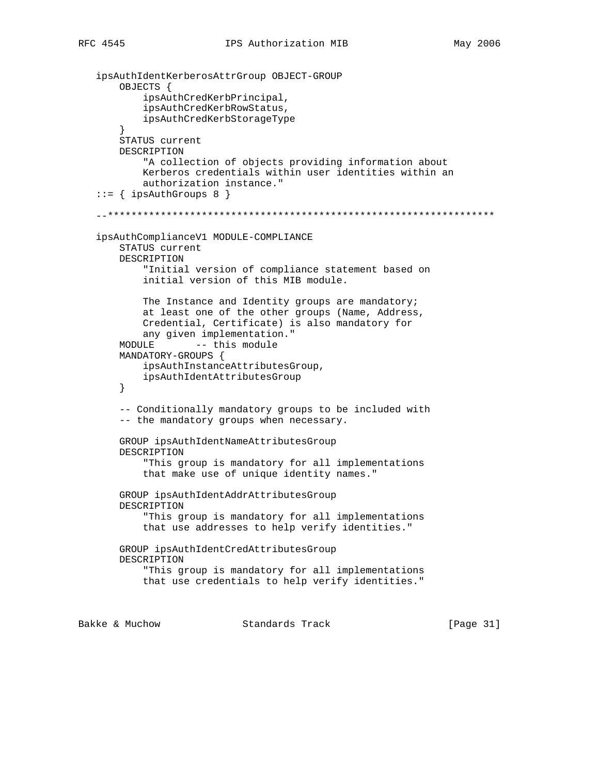```
 ipsAuthIdentKerberosAttrGroup OBJECT-GROUP
        OBJECTS {
            ipsAuthCredKerbPrincipal,
            ipsAuthCredKerbRowStatus,
            ipsAuthCredKerbStorageType
        }
        STATUS current
       DESCRIPTION
            "A collection of objects providing information about
            Kerberos credentials within user identities within an
           authorization instance."
   ::= { ipsAuthGroups 8 }
    --******************************************************************
    ipsAuthComplianceV1 MODULE-COMPLIANCE
        STATUS current
       DESCRIPTION
            "Initial version of compliance statement based on
            initial version of this MIB module.
            The Instance and Identity groups are mandatory;
            at least one of the other groups (Name, Address,
            Credential, Certificate) is also mandatory for
            any given implementation."
        MODULE -- this module
        MANDATORY-GROUPS {
            ipsAuthInstanceAttributesGroup,
            ipsAuthIdentAttributesGroup
        }
        -- Conditionally mandatory groups to be included with
        -- the mandatory groups when necessary.
        GROUP ipsAuthIdentNameAttributesGroup
        DESCRIPTION
            "This group is mandatory for all implementations
            that make use of unique identity names."
        GROUP ipsAuthIdentAddrAttributesGroup
        DESCRIPTION
            "This group is mandatory for all implementations
            that use addresses to help verify identities."
        GROUP ipsAuthIdentCredAttributesGroup
        DESCRIPTION
            "This group is mandatory for all implementations
            that use credentials to help verify identities."
Bakke & Muchow Standards Track [Page 31]
```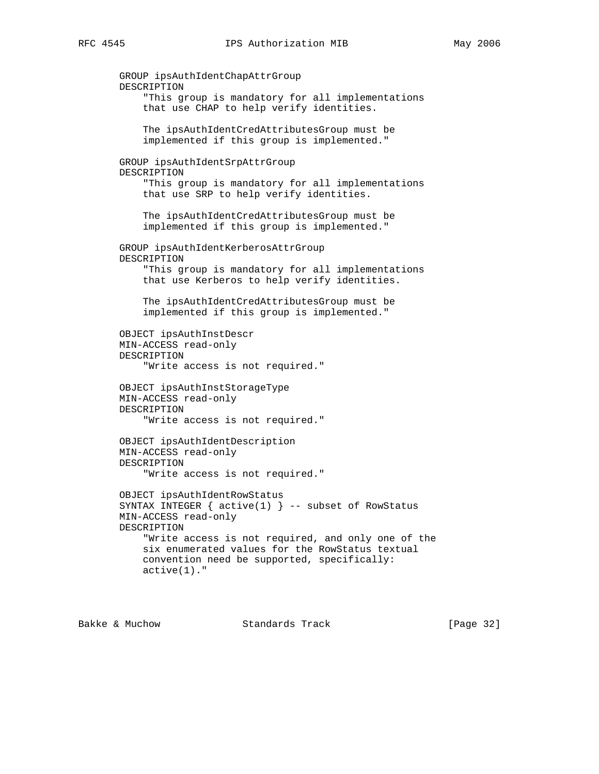```
 GROUP ipsAuthIdentChapAttrGroup
 DESCRIPTION
     "This group is mandatory for all implementations
     that use CHAP to help verify identities.
     The ipsAuthIdentCredAttributesGroup must be
     implemented if this group is implemented."
 GROUP ipsAuthIdentSrpAttrGroup
 DESCRIPTION
     "This group is mandatory for all implementations
     that use SRP to help verify identities.
     The ipsAuthIdentCredAttributesGroup must be
     implemented if this group is implemented."
 GROUP ipsAuthIdentKerberosAttrGroup
 DESCRIPTION
     "This group is mandatory for all implementations
     that use Kerberos to help verify identities.
     The ipsAuthIdentCredAttributesGroup must be
     implemented if this group is implemented."
 OBJECT ipsAuthInstDescr
 MIN-ACCESS read-only
 DESCRIPTION
     "Write access is not required."
 OBJECT ipsAuthInstStorageType
 MIN-ACCESS read-only
 DESCRIPTION
     "Write access is not required."
 OBJECT ipsAuthIdentDescription
 MIN-ACCESS read-only
 DESCRIPTION
     "Write access is not required."
 OBJECT ipsAuthIdentRowStatus
SYNTAX INTEGER \{ active(1) \} -- subset of RowStatus
 MIN-ACCESS read-only
 DESCRIPTION
     "Write access is not required, and only one of the
     six enumerated values for the RowStatus textual
     convention need be supported, specifically:
     active(1)."
```
Bakke & Muchow Standards Track [Page 32]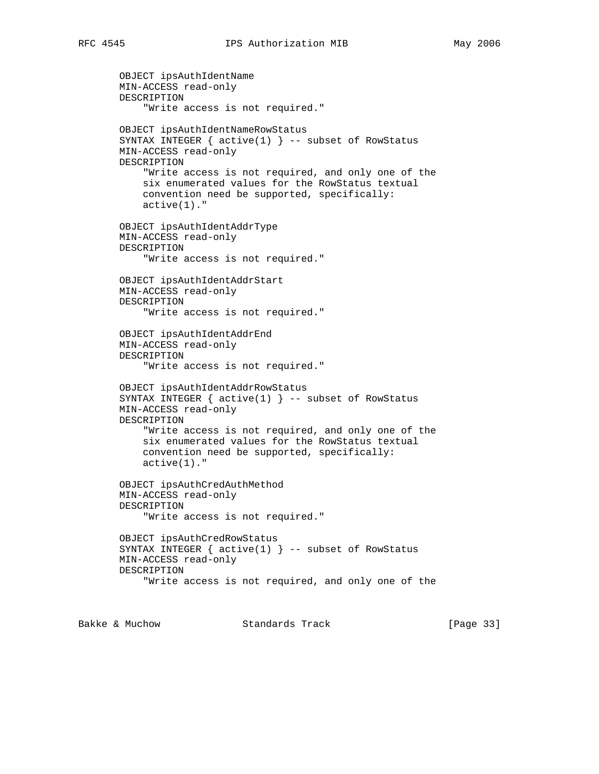```
 OBJECT ipsAuthIdentName
 MIN-ACCESS read-only
 DESCRIPTION
     "Write access is not required."
 OBJECT ipsAuthIdentNameRowStatus
SYNTAX INTEGER \{ active(1) \} -- subset of RowStatus
 MIN-ACCESS read-only
 DESCRIPTION
     "Write access is not required, and only one of the
     six enumerated values for the RowStatus textual
     convention need be supported, specifically:
     active(1)."
 OBJECT ipsAuthIdentAddrType
 MIN-ACCESS read-only
 DESCRIPTION
     "Write access is not required."
 OBJECT ipsAuthIdentAddrStart
 MIN-ACCESS read-only
 DESCRIPTION
     "Write access is not required."
 OBJECT ipsAuthIdentAddrEnd
 MIN-ACCESS read-only
 DESCRIPTION
     "Write access is not required."
 OBJECT ipsAuthIdentAddrRowStatus
SYNTAX INTEGER \{ active(1) \} -- subset of RowStatus
 MIN-ACCESS read-only
 DESCRIPTION
     "Write access is not required, and only one of the
     six enumerated values for the RowStatus textual
     convention need be supported, specifically:
     active(1)."
 OBJECT ipsAuthCredAuthMethod
 MIN-ACCESS read-only
 DESCRIPTION
     "Write access is not required."
 OBJECT ipsAuthCredRowStatus
 SYNTAX INTEGER { active(1) } -- subset of RowStatus
 MIN-ACCESS read-only
 DESCRIPTION
     "Write access is not required, and only one of the
```
Bakke & Muchow Standards Track [Page 33]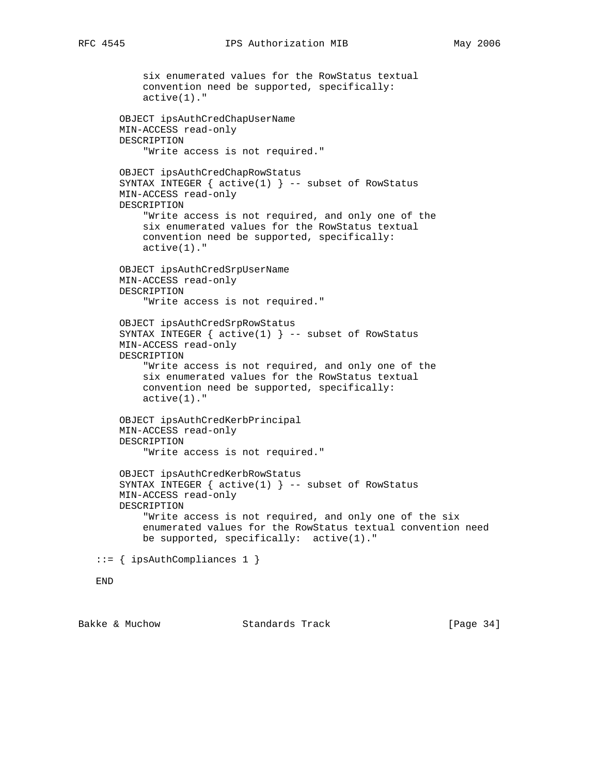```
 six enumerated values for the RowStatus textual
         convention need be supported, specifically:
         active(1)."
     OBJECT ipsAuthCredChapUserName
     MIN-ACCESS read-only
    DESCRIPTION
         "Write access is not required."
     OBJECT ipsAuthCredChapRowStatus
    SYNTAX INTEGER \{ active(1) \} -- subset of RowStatus
     MIN-ACCESS read-only
     DESCRIPTION
         "Write access is not required, and only one of the
         six enumerated values for the RowStatus textual
         convention need be supported, specifically:
         active(1)."
     OBJECT ipsAuthCredSrpUserName
     MIN-ACCESS read-only
    DESCRIPTION
         "Write access is not required."
     OBJECT ipsAuthCredSrpRowStatus
    SYNTAX INTEGER \{ active(1) \} -- subset of RowStatus
    MIN-ACCESS read-only
    DESCRIPTION
         "Write access is not required, and only one of the
         six enumerated values for the RowStatus textual
         convention need be supported, specifically:
         active(1)."
     OBJECT ipsAuthCredKerbPrincipal
    MIN-ACCESS read-only
    DESCRIPTION
         "Write access is not required."
     OBJECT ipsAuthCredKerbRowStatus
    SYNTAX INTEGER \{ active(1) \} -- subset of RowStatus
     MIN-ACCESS read-only
    DESCRIPTION
         "Write access is not required, and only one of the six
         enumerated values for the RowStatus textual convention need
        be supported, specifically: active(1)."
 ::= { ipsAuthCompliances 1 }
 END
```
Bakke & Muchow Standards Track [Page 34]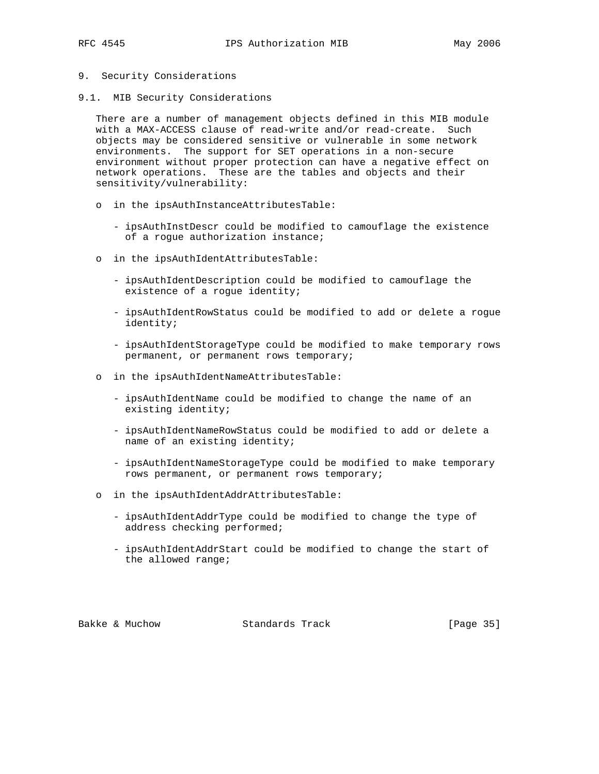- 9. Security Considerations
- 9.1. MIB Security Considerations

 There are a number of management objects defined in this MIB module with a MAX-ACCESS clause of read-write and/or read-create. Such objects may be considered sensitive or vulnerable in some network environments. The support for SET operations in a non-secure environment without proper protection can have a negative effect on network operations. These are the tables and objects and their sensitivity/vulnerability:

- o in the ipsAuthInstanceAttributesTable:
	- ipsAuthInstDescr could be modified to camouflage the existence of a rogue authorization instance;
- o in the ipsAuthIdentAttributesTable:
	- ipsAuthIdentDescription could be modified to camouflage the existence of a rogue identity;
	- ipsAuthIdentRowStatus could be modified to add or delete a rogue identity;
	- ipsAuthIdentStorageType could be modified to make temporary rows permanent, or permanent rows temporary;
- o in the ipsAuthIdentNameAttributesTable:
	- ipsAuthIdentName could be modified to change the name of an existing identity;
	- ipsAuthIdentNameRowStatus could be modified to add or delete a name of an existing identity;
	- ipsAuthIdentNameStorageType could be modified to make temporary rows permanent, or permanent rows temporary;
- o in the ipsAuthIdentAddrAttributesTable:
	- ipsAuthIdentAddrType could be modified to change the type of address checking performed;
	- ipsAuthIdentAddrStart could be modified to change the start of the allowed range;

Bakke & Muchow Standards Track [Page 35]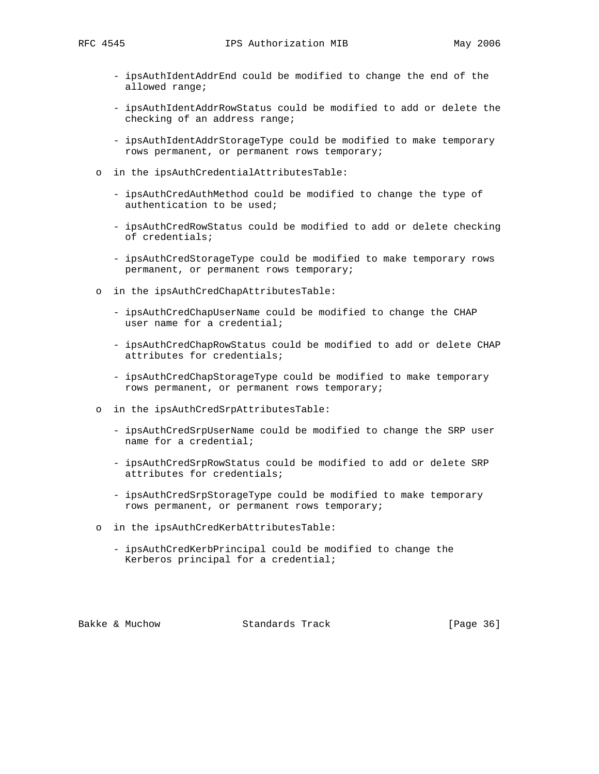- ipsAuthIdentAddrEnd could be modified to change the end of the allowed range;
- ipsAuthIdentAddrRowStatus could be modified to add or delete the checking of an address range;
- ipsAuthIdentAddrStorageType could be modified to make temporary rows permanent, or permanent rows temporary;
- o in the ipsAuthCredentialAttributesTable:
	- ipsAuthCredAuthMethod could be modified to change the type of authentication to be used;
	- ipsAuthCredRowStatus could be modified to add or delete checking of credentials;
	- ipsAuthCredStorageType could be modified to make temporary rows permanent, or permanent rows temporary;
- o in the ipsAuthCredChapAttributesTable:
	- ipsAuthCredChapUserName could be modified to change the CHAP user name for a credential;
	- ipsAuthCredChapRowStatus could be modified to add or delete CHAP attributes for credentials;
	- ipsAuthCredChapStorageType could be modified to make temporary rows permanent, or permanent rows temporary;
- o in the ipsAuthCredSrpAttributesTable:
	- ipsAuthCredSrpUserName could be modified to change the SRP user name for a credential;
	- ipsAuthCredSrpRowStatus could be modified to add or delete SRP attributes for credentials;
	- ipsAuthCredSrpStorageType could be modified to make temporary rows permanent, or permanent rows temporary;
- o in the ipsAuthCredKerbAttributesTable:
	- ipsAuthCredKerbPrincipal could be modified to change the Kerberos principal for a credential;

Bakke & Muchow Standards Track [Page 36]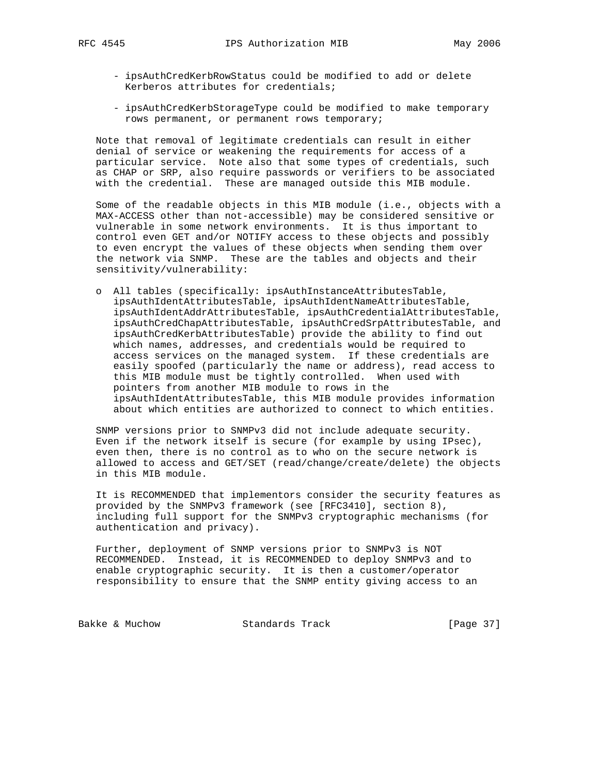- - ipsAuthCredKerbRowStatus could be modified to add or delete Kerberos attributes for credentials;
	- ipsAuthCredKerbStorageType could be modified to make temporary rows permanent, or permanent rows temporary;

 Note that removal of legitimate credentials can result in either denial of service or weakening the requirements for access of a particular service. Note also that some types of credentials, such as CHAP or SRP, also require passwords or verifiers to be associated with the credential. These are managed outside this MIB module.

 Some of the readable objects in this MIB module (i.e., objects with a MAX-ACCESS other than not-accessible) may be considered sensitive or vulnerable in some network environments. It is thus important to control even GET and/or NOTIFY access to these objects and possibly to even encrypt the values of these objects when sending them over the network via SNMP. These are the tables and objects and their sensitivity/vulnerability:

 o All tables (specifically: ipsAuthInstanceAttributesTable, ipsAuthIdentAttributesTable, ipsAuthIdentNameAttributesTable, ipsAuthIdentAddrAttributesTable, ipsAuthCredentialAttributesTable, ipsAuthCredChapAttributesTable, ipsAuthCredSrpAttributesTable, and ipsAuthCredKerbAttributesTable) provide the ability to find out which names, addresses, and credentials would be required to access services on the managed system. If these credentials are easily spoofed (particularly the name or address), read access to this MIB module must be tightly controlled. When used with pointers from another MIB module to rows in the ipsAuthIdentAttributesTable, this MIB module provides information about which entities are authorized to connect to which entities.

 SNMP versions prior to SNMPv3 did not include adequate security. Even if the network itself is secure (for example by using IPsec), even then, there is no control as to who on the secure network is allowed to access and GET/SET (read/change/create/delete) the objects in this MIB module.

 It is RECOMMENDED that implementors consider the security features as provided by the SNMPv3 framework (see [RFC3410], section 8), including full support for the SNMPv3 cryptographic mechanisms (for authentication and privacy).

 Further, deployment of SNMP versions prior to SNMPv3 is NOT RECOMMENDED. Instead, it is RECOMMENDED to deploy SNMPv3 and to enable cryptographic security. It is then a customer/operator responsibility to ensure that the SNMP entity giving access to an

Bakke & Muchow Standards Track [Page 37]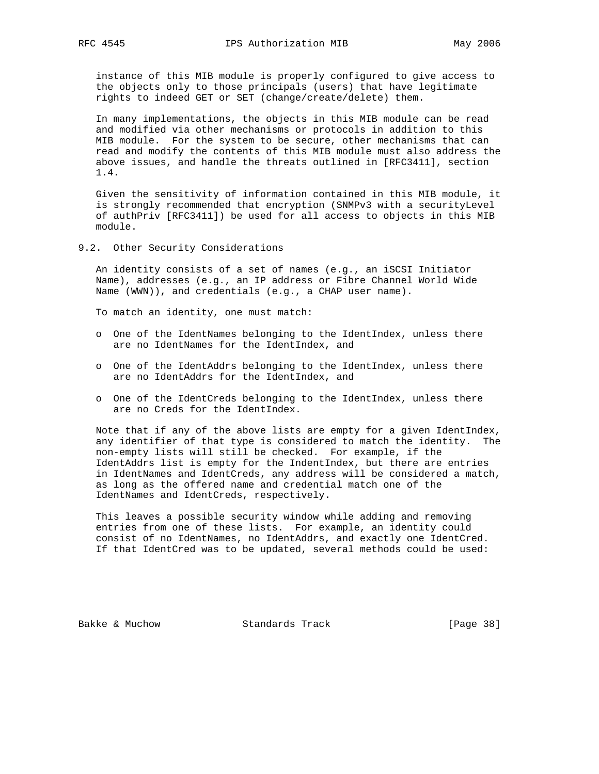instance of this MIB module is properly configured to give access to the objects only to those principals (users) that have legitimate rights to indeed GET or SET (change/create/delete) them.

 In many implementations, the objects in this MIB module can be read and modified via other mechanisms or protocols in addition to this MIB module. For the system to be secure, other mechanisms that can read and modify the contents of this MIB module must also address the above issues, and handle the threats outlined in [RFC3411], section 1.4.

 Given the sensitivity of information contained in this MIB module, it is strongly recommended that encryption (SNMPv3 with a securityLevel of authPriv [RFC3411]) be used for all access to objects in this MIB module.

9.2. Other Security Considerations

 An identity consists of a set of names (e.g., an iSCSI Initiator Name), addresses (e.g., an IP address or Fibre Channel World Wide Name (WWN)), and credentials (e.g., a CHAP user name).

To match an identity, one must match:

- o One of the IdentNames belonging to the IdentIndex, unless there are no IdentNames for the IdentIndex, and
- o One of the IdentAddrs belonging to the IdentIndex, unless there are no IdentAddrs for the IdentIndex, and
- o One of the IdentCreds belonging to the IdentIndex, unless there are no Creds for the IdentIndex.

 Note that if any of the above lists are empty for a given IdentIndex, any identifier of that type is considered to match the identity. The non-empty lists will still be checked. For example, if the IdentAddrs list is empty for the IndentIndex, but there are entries in IdentNames and IdentCreds, any address will be considered a match, as long as the offered name and credential match one of the IdentNames and IdentCreds, respectively.

 This leaves a possible security window while adding and removing entries from one of these lists. For example, an identity could consist of no IdentNames, no IdentAddrs, and exactly one IdentCred. If that IdentCred was to be updated, several methods could be used:

Bakke & Muchow Standards Track [Page 38]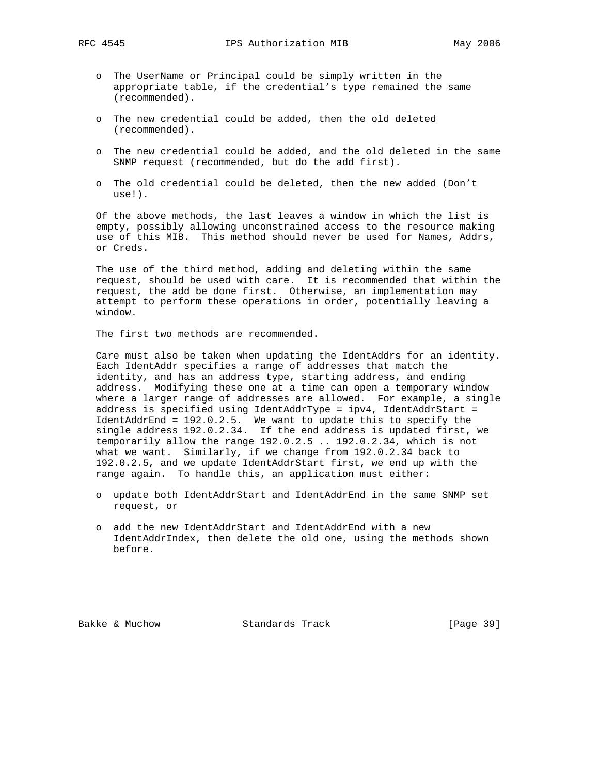- o The UserName or Principal could be simply written in the appropriate table, if the credential's type remained the same (recommended).
- o The new credential could be added, then the old deleted (recommended).
- o The new credential could be added, and the old deleted in the same SNMP request (recommended, but do the add first).
- o The old credential could be deleted, then the new added (Don't use!).

 Of the above methods, the last leaves a window in which the list is empty, possibly allowing unconstrained access to the resource making use of this MIB. This method should never be used for Names, Addrs, or Creds.

 The use of the third method, adding and deleting within the same request, should be used with care. It is recommended that within the request, the add be done first. Otherwise, an implementation may attempt to perform these operations in order, potentially leaving a window.

The first two methods are recommended.

 Care must also be taken when updating the IdentAddrs for an identity. Each IdentAddr specifies a range of addresses that match the identity, and has an address type, starting address, and ending address. Modifying these one at a time can open a temporary window where a larger range of addresses are allowed. For example, a single address is specified using IdentAddrType = ipv4, IdentAddrStart = IdentAddrEnd = 192.0.2.5. We want to update this to specify the single address 192.0.2.34. If the end address is updated first, we temporarily allow the range 192.0.2.5 .. 192.0.2.34, which is not what we want. Similarly, if we change from 192.0.2.34 back to 192.0.2.5, and we update IdentAddrStart first, we end up with the range again. To handle this, an application must either:

- o update both IdentAddrStart and IdentAddrEnd in the same SNMP set request, or
- o add the new IdentAddrStart and IdentAddrEnd with a new IdentAddrIndex, then delete the old one, using the methods shown before.

Bakke & Muchow Standards Track [Page 39]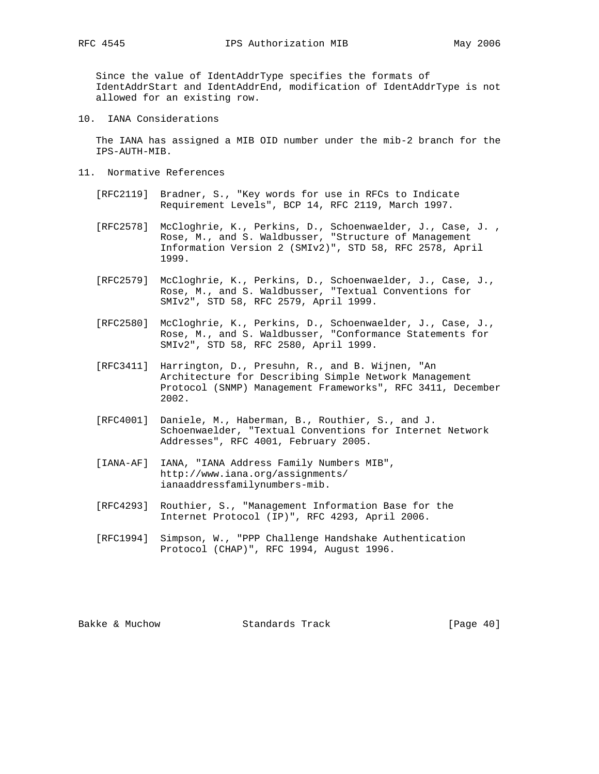Since the value of IdentAddrType specifies the formats of IdentAddrStart and IdentAddrEnd, modification of IdentAddrType is not allowed for an existing row.

10. IANA Considerations

 The IANA has assigned a MIB OID number under the mib-2 branch for the IPS-AUTH-MIB.

- 11. Normative References
	- [RFC2119] Bradner, S., "Key words for use in RFCs to Indicate Requirement Levels", BCP 14, RFC 2119, March 1997.
	- [RFC2578] McCloghrie, K., Perkins, D., Schoenwaelder, J., Case, J. , Rose, M., and S. Waldbusser, "Structure of Management Information Version 2 (SMIv2)", STD 58, RFC 2578, April 1999.
	- [RFC2579] McCloghrie, K., Perkins, D., Schoenwaelder, J., Case, J., Rose, M., and S. Waldbusser, "Textual Conventions for SMIv2", STD 58, RFC 2579, April 1999.
	- [RFC2580] McCloghrie, K., Perkins, D., Schoenwaelder, J., Case, J., Rose, M., and S. Waldbusser, "Conformance Statements for SMIv2", STD 58, RFC 2580, April 1999.
	- [RFC3411] Harrington, D., Presuhn, R., and B. Wijnen, "An Architecture for Describing Simple Network Management Protocol (SNMP) Management Frameworks", RFC 3411, December 2002.
	- [RFC4001] Daniele, M., Haberman, B., Routhier, S., and J. Schoenwaelder, "Textual Conventions for Internet Network Addresses", RFC 4001, February 2005.
	- [IANA-AF] IANA, "IANA Address Family Numbers MIB", http://www.iana.org/assignments/ ianaaddressfamilynumbers-mib.
	- [RFC4293] Routhier, S., "Management Information Base for the Internet Protocol (IP)", RFC 4293, April 2006.
	- [RFC1994] Simpson, W., "PPP Challenge Handshake Authentication Protocol (CHAP)", RFC 1994, August 1996.

Bakke & Muchow Standards Track [Page 40]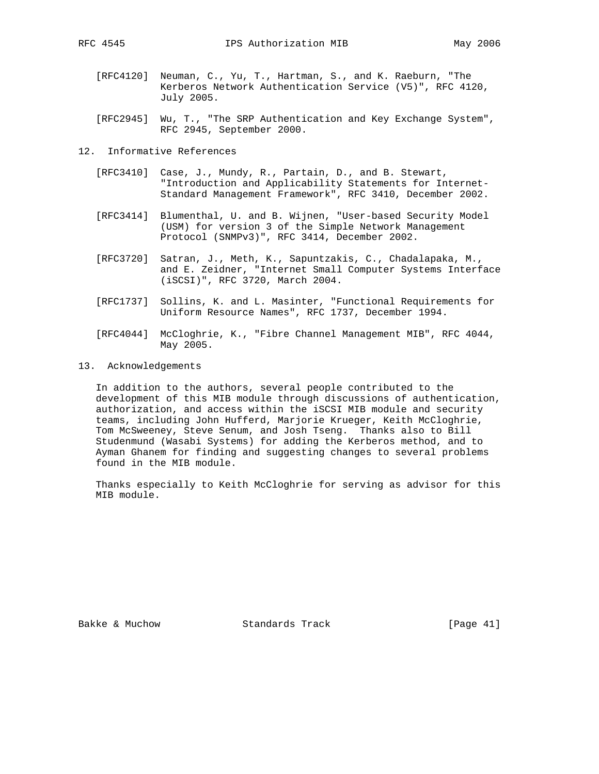- [RFC4120] Neuman, C., Yu, T., Hartman, S., and K. Raeburn, "The Kerberos Network Authentication Service (V5)", RFC 4120, July 2005.
- [RFC2945] Wu, T., "The SRP Authentication and Key Exchange System", RFC 2945, September 2000.
- 12. Informative References
	- [RFC3410] Case, J., Mundy, R., Partain, D., and B. Stewart, "Introduction and Applicability Statements for Internet- Standard Management Framework", RFC 3410, December 2002.
	- [RFC3414] Blumenthal, U. and B. Wijnen, "User-based Security Model (USM) for version 3 of the Simple Network Management Protocol (SNMPv3)", RFC 3414, December 2002.
	- [RFC3720] Satran, J., Meth, K., Sapuntzakis, C., Chadalapaka, M., and E. Zeidner, "Internet Small Computer Systems Interface (iSCSI)", RFC 3720, March 2004.
	- [RFC1737] Sollins, K. and L. Masinter, "Functional Requirements for Uniform Resource Names", RFC 1737, December 1994.
	- [RFC4044] McCloghrie, K., "Fibre Channel Management MIB", RFC 4044, May 2005.
- 13. Acknowledgements

 In addition to the authors, several people contributed to the development of this MIB module through discussions of authentication, authorization, and access within the iSCSI MIB module and security teams, including John Hufferd, Marjorie Krueger, Keith McCloghrie, Tom McSweeney, Steve Senum, and Josh Tseng. Thanks also to Bill Studenmund (Wasabi Systems) for adding the Kerberos method, and to Ayman Ghanem for finding and suggesting changes to several problems found in the MIB module.

 Thanks especially to Keith McCloghrie for serving as advisor for this MIB module.

Bakke & Muchow Standards Track [Page 41]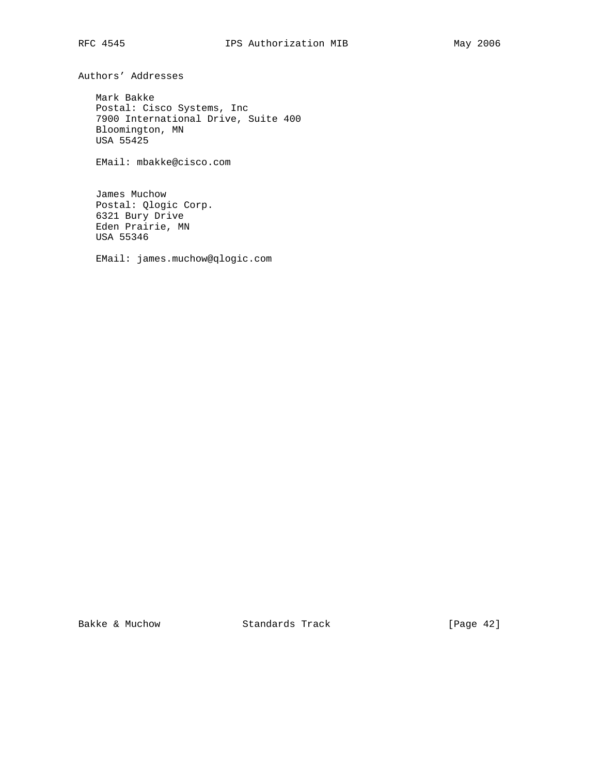Authors' Addresses

 Mark Bakke Postal: Cisco Systems, Inc 7900 International Drive, Suite 400 Bloomington, MN USA 55425

EMail: mbakke@cisco.com

 James Muchow Postal: Qlogic Corp. 6321 Bury Drive Eden Prairie, MN USA 55346

EMail: james.muchow@qlogic.com

Bakke & Muchow Standards Track [Page 42]